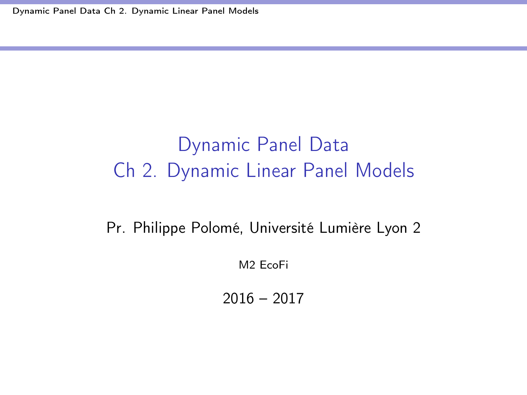<span id="page-0-0"></span>[Dynamic Panel Data Ch 2. Dynamic Linear Panel Models](#page-71-0)

## Dynamic Panel Data Ch 2. Dynamic Linear Panel Models

Pr. Philippe Polomé, Université Lumière Lyon 2

M2 EcoFi

2016 – 2017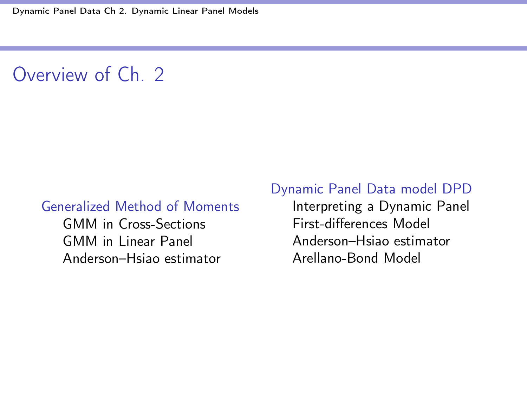## Overview of Ch. 2

#### [Generalized Method of Moments](#page-2-0)

[GMM in Cross-Sections](#page-4-0) [GMM in Linear Panel](#page-11-0) [Anderson–Hsiao estimator](#page-27-0)

#### [Dynamic Panel Data model DPD](#page-35-0)

[Interpreting a Dynamic Panel](#page-37-0) First-diff[erences Model](#page-43-0) [Anderson–Hsiao estimator](#page-46-0) [Arellano-Bond Model](#page-53-0)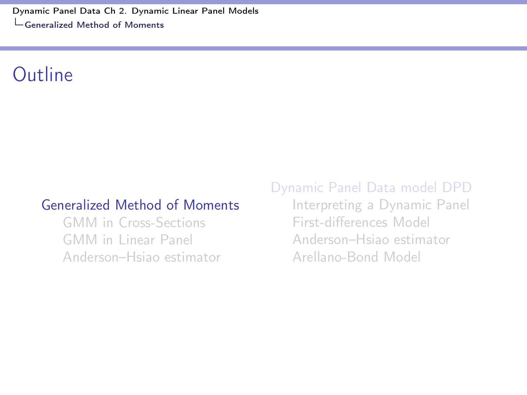<span id="page-2-0"></span>[Dynamic Panel Data Ch 2. Dynamic Linear Panel Models](#page-0-0) [Generalized Method of Moments](#page-2-0)

#### Outline

#### [Generalized Method of Moments](#page-2-0)

[GMM in Cross-Sections](#page-4-0) [GMM in Linear Panel](#page-11-0) [Anderson–Hsiao estimator](#page-27-0)

#### [Dynamic Panel Data model DPD](#page-35-0)

[Interpreting a Dynamic Panel](#page-37-0) First-diff[erences Model](#page-43-0) [Anderson–Hsiao estimator](#page-46-0) [Arellano-Bond Model](#page-53-0)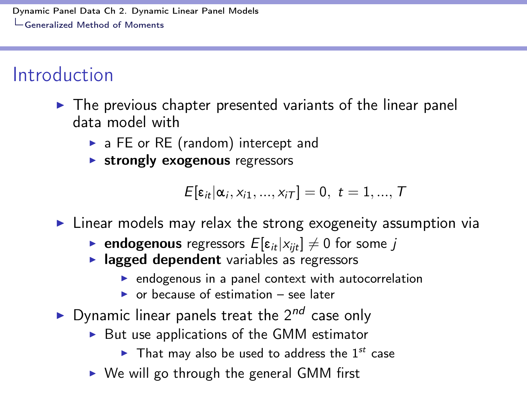[Dynamic Panel Data Ch 2. Dynamic Linear Panel Models](#page-0-0) [Generalized Method of Moments](#page-2-0)

### Introduction

- $\triangleright$  The previous chapter presented variants of the linear panel data model with
	- $\triangleright$  a FE or RE (random) intercept and
	- $\triangleright$  strongly exogenous regressors

 $E[\varepsilon_{it}|\alpha_i, x_{i1},...,x_{iT}] = 0, t = 1,...,T$ 

- $\blacktriangleright$  Linear models may relax the strong exogeneity assumption via
	- ► endogenous regressors  $E[\epsilon_{it}|x_{ijt}] \neq 0$  for some *j* <br>► lagged dependent variables as regressors
	- - $\triangleright$  endogenous in a panel context with autocorrelation
		- $\triangleright$  or because of estimation see later
- ▶ Dynamic linear panels treat the 2<sup>nd</sup> case only
	- $\triangleright$  But use applications of the GMM estimator
		- $\blacktriangleright$  That may also be used to address the 1<sup>st</sup> case
	- $\triangleright$  We will go through the general GMM first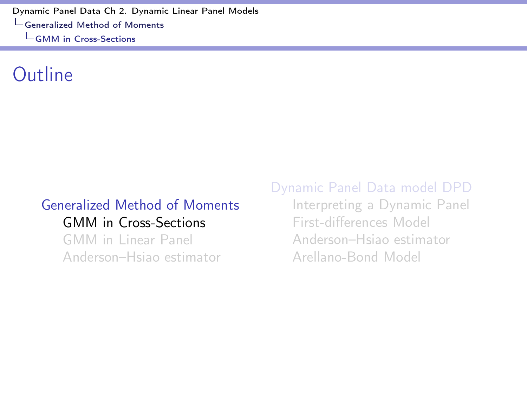### <span id="page-4-0"></span>Outline

#### [Generalized Method of Moments](#page-2-0) [GMM in Cross-Sections](#page-4-0)

[GMM in Linear Panel](#page-11-0) [Anderson–Hsiao estimator](#page-27-0) [Dynamic Panel Data model DPD](#page-35-0)

[Interpreting a Dynamic Panel](#page-37-0) First-diff[erences Model](#page-43-0) [Anderson–Hsiao estimator](#page-46-0) [Arellano-Bond Model](#page-53-0)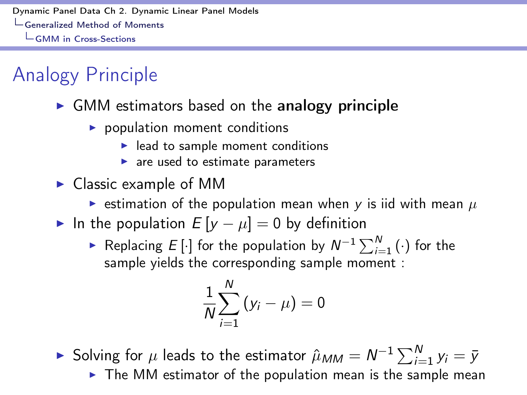# Analogy Principle

- $\triangleright$  GMM estimators based on the analogy principle
	- $\triangleright$  population moment conditions
		- $\blacktriangleright$  lead to sample moment conditions
		- $\blacktriangleright$  are used to estimate parameters
- $\triangleright$  Classic example of MM
	- **Example 3** estimation of the population mean when  $\gamma$  is iid with mean  $\mu$
- In the population  $E[y \mu] = 0$  by definition
	- $\blacktriangleright$  Replacing *E*  $[\cdot]$  for the population by  $N^{-1}\sum_{i=1}^{N}(\cdot)$  for the sample yields the corresponding sample moment :

$$
\frac{1}{N}\sum_{i=1}^N\left(y_i-\mu\right)=0
$$

► Solving for  $\mu$  leads to the estimator  $\hat{\mu}_{MM} = N^{-1} \sum_{i=1}^{N} y_i = \bar{y}$ 

 $\triangleright$  The MM estimator of the population mean is the sample mean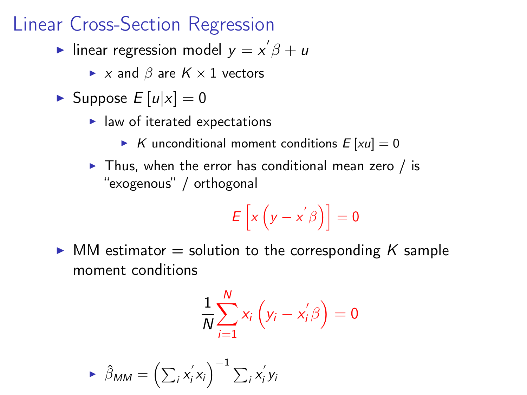#### Linear Cross-Section Regression

Inear regression model  $y = x^7 \beta + u$ 

- $\blacktriangleright$  *x* and  $\beta$  are  $K \times 1$  vectors
- $\blacktriangleright$  Suppose  $E[u|x] = 0$ 
	- $\blacktriangleright$  law of iterated expectations
		- $\triangleright$  *K* unconditional moment conditions  $E [xu] = 0$
	- $\triangleright$  Thus, when the error has conditional mean zero / is "exogenous" / orthogonal

$$
E\left[x\left(y-x^{'}\beta\right)\right]=0
$$

 $\triangleright$  MM estimator  $=$  solution to the corresponding K sample moment conditions

$$
\frac{1}{N}\sum_{i=1}^N x_i\left(y_i - x'_i\beta\right) = 0
$$

$$
\blacktriangleright \widehat{\beta}_{MM} = \left(\sum_{i} x_{i}^{'} x_{i}\right)^{-1} \sum_{i} x_{i}^{'} y_{i}
$$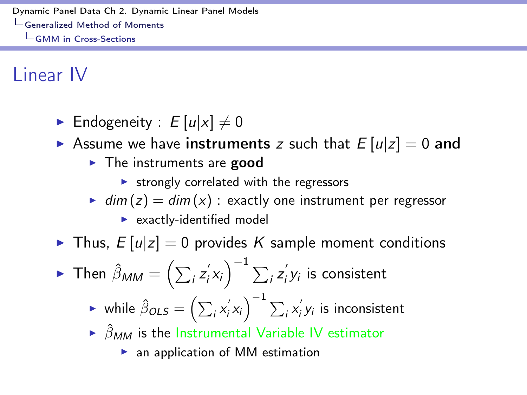Linear IV

- **E** Endogeneity :  $E[u|x] \neq 0$
- $\triangleright$  Assume we have instruments *z* such that  $E[u|z] = 0$  and
	- $\blacktriangleright$  The instruments are good
		- $\triangleright$  strongly correlated with the regressors
	- $\bullet$  *dim* (*z*) = *dim* (*x*) : exactly one instrument per regressor
		- $\blacktriangleright$  exactly-identified model

 $\triangleright$  Thus,  $E[u|z] = 0$  provides K sample moment conditions

$$
\blacktriangleright \text{ Then } \hat{\beta}_{MM} = \left(\sum_{i} z_{i}^{'} x_{i}\right)^{-1} \sum_{i} z_{i}^{'} y_{i} \text{ is consistent}
$$

$$
\triangleright \text{ while } \hat{\beta}_{OLS} = \left(\sum_i x_i' x_i\right)^{-1} \sum_i x_i' y_i \text{ is inconsistent}
$$

- $\rightarrow$   $\hat{\beta}_{MM}$  is the Instrumental Variable IV estimator
	- $\blacktriangleright$  an application of MM estimation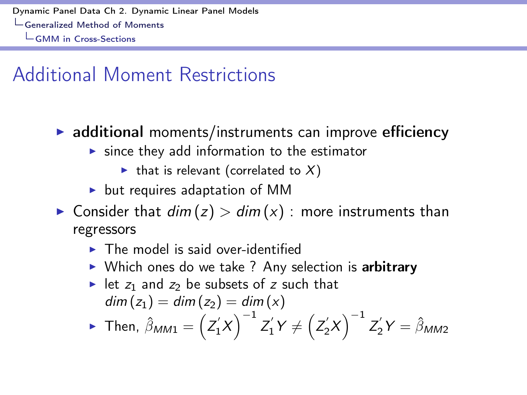### Additional Moment Restrictions

- $\triangleright$  additional moments/instruments can improve efficiency
	- $\triangleright$  since they add information to the estimator
		- If that is relevant (correlated to  $X$ )
	- $\blacktriangleright$  but requires adaptation of MM
- $\triangleright$  Consider that  $dim(z) > dim(x)$ : more instruments than regressors
	- $\blacktriangleright$  The model is said over-identified
	- $\triangleright$  Which ones do we take ? Any selection is arbitrary
	- In let  $z_1$  and  $z_2$  be subsets of  $z$  such that  $dim(z_1) = dim(z_2) = dim(x)$

$$
\text{ Then, } \hat{\beta}_{MM1} = \left(Z_1'X\right)^{-1} Z_1'Y \neq \left(Z_2'X\right)^{-1} Z_2'Y = \hat{\beta}_{MM2}
$$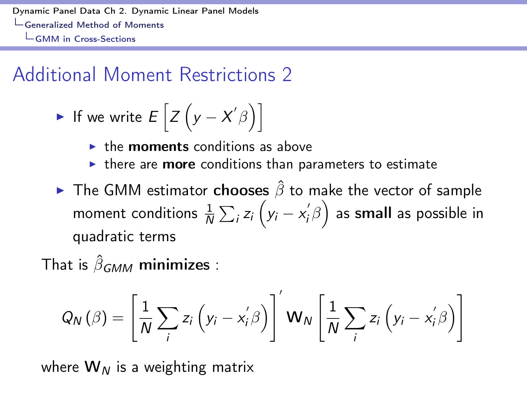### Additional Moment Restrictions 2

• If we write 
$$
E\left[Z\left(y - X'\beta\right)\right]
$$

- $\blacktriangleright$  the **moments** conditions as above
- $\triangleright$  there are **more** conditions than parameters to estimate
- $\blacktriangleright$  The GMM estimator chooses  $\hat{\beta}$  to make the vector of sample moment conditions  $\frac{1}{N}\sum_{i}z_{i}\left(y_{i}-x_{i}^{'}\beta\right)$  as small as possible in quadratic terms

That is  $\hat{\beta}_{GMM}$  minimizes :

$$
Q_N(\beta) = \left[\frac{1}{N}\sum_i z_i \left(y_i - x'_i \beta\right)\right] \mathbf{W}_N \left[\frac{1}{N}\sum_i z_i \left(y_i - x'_i \beta\right)\right]
$$

where  $W_N$  is a weighting matrix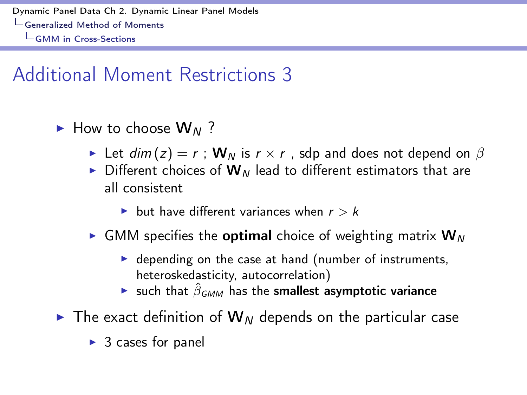## Additional Moment Restrictions 3

- ► How to choose W<sub>N</sub>?
	- In Let  $dim(z) = r$ ;  $W_N$  is  $r \times r$ , sdp and does not depend on  $\beta$
	- $\triangleright$  Different choices of  $W_N$  lead to different estimators that are all consistent
		- $\blacktriangleright$  but have different variances when  $r > k$
	- $\triangleright$  GMM specifies the **optimal** choice of weighting matrix  $W_N$ 
		- $\triangleright$  depending on the case at hand (number of instruments, heteroskedasticity, autocorrelation)
		- **If** such that  $\hat{\beta}_{GMM}$  has the smallest asymptotic variance
- $\triangleright$  The exact definition of  $W_N$  depends on the particular case
	- $\triangleright$  3 cases for panel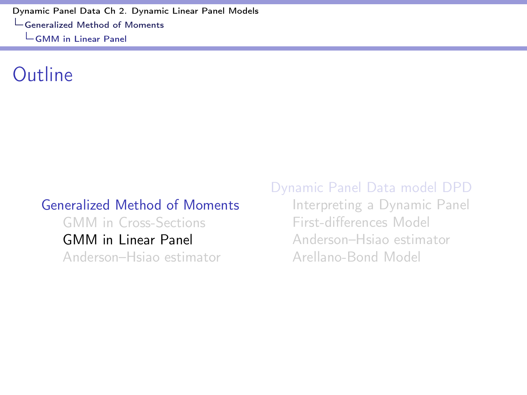### <span id="page-11-0"></span>Outline

#### [Generalized Method of Moments](#page-2-0) [GMM in Cross-Sections](#page-4-0) [GMM in Linear Panel](#page-11-0) [Anderson–Hsiao estimator](#page-27-0)

[Dynamic Panel Data model DPD](#page-35-0)

[Interpreting a Dynamic Panel](#page-37-0) First-diff[erences Model](#page-43-0) [Anderson–Hsiao estimator](#page-46-0) [Arellano-Bond Model](#page-53-0)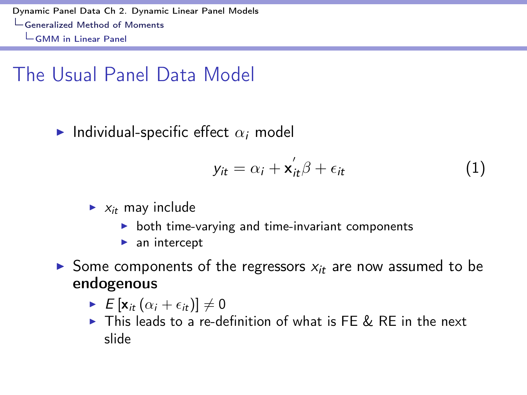## The Usual Panel Data Model

Individual-specific effect  $\alpha_i$  model

<span id="page-12-0"></span>
$$
y_{it} = \alpha_i + \mathbf{x}_{it}^{\prime} \beta + \epsilon_{it}
$$
 (1)

- $\blacktriangleright$  *x*<sub>it</sub> may include
	- $\triangleright$  both time-varying and time-invariant components
	- $\blacktriangleright$  an intercept
- Some components of the regressors  $x_i$  are now assumed to be endogenous
	- $\blacktriangleright$   $E\left[\mathbf{x}_{it}\left(\alpha_i+\epsilon_{it}\right)\right]\neq 0$
	- $\triangleright$  This leads to a re-definition of what is FE & RE in the next slide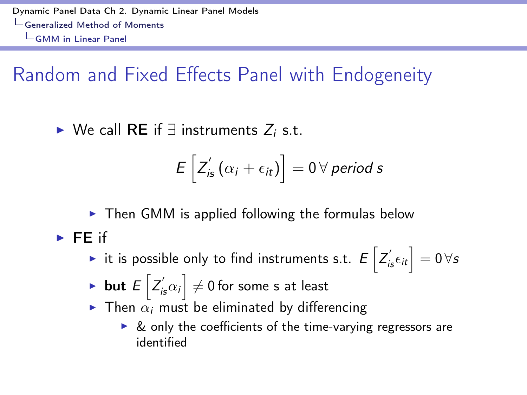## Random and Fixed Effects Panel with Endogeneity

 $\triangleright$  We call RE if  $\exists$  instruments  $Z_i$  s.t.

$$
E\left[Z_{\text{is}}'\left(\alpha_{i}+\epsilon_{\text{it}}\right)\right]=0\,\forall\,\text{period}\,\text{s}
$$

 $\triangleright$  Then GMM is applied following the formulas below  $\blacktriangleright$  FF if

- $\blacktriangleright$  it is possible only to find instruments s.t.  $E\left[Z^{'}_{i\mathsf{s}}\epsilon_{i\mathsf{t}}\right]=0$   $\forall\mathsf{s}$
- $\blacktriangleright$  but  $E\left[Z^{'}_{i\mathbf{s}}\alpha_i\right]\neq 0$  for some s at least
- $\triangleright$  Then  $\alpha_i$  must be eliminated by differencing
	- $\triangleright$  & only the coefficients of the time-varying regressors are identified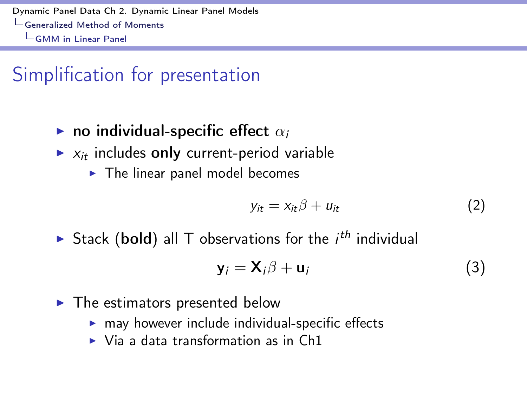### Simplification for presentation

- **In** no individual-specific effect  $\alpha_i$
- $\triangleright$   $x_i$  includes only current-period variable
	- $\blacktriangleright$  The linear panel model becomes

$$
y_{it} = x_{it}\beta + u_{it} \tag{2}
$$

 $\triangleright$  Stack (bold) all T observations for the *i<sup>th</sup>* individual

$$
\mathbf{y}_i = \mathbf{X}_i \boldsymbol{\beta} + \mathbf{u}_i \tag{3}
$$

- $\blacktriangleright$  The estimators presented below
	- $\triangleright$  may however include individual-specific effects
	- $\triangleright$  Via a data transformation as in Ch1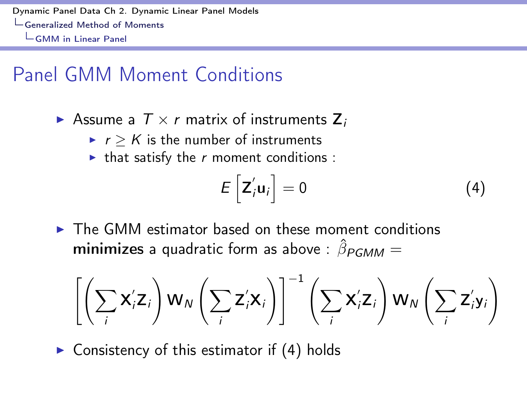### Panel GMM Moment Conditions

- Assume a  $T \times r$  matrix of instruments  $Z_i$ 
	- $\blacktriangleright$   $r > K$  is the number of instruments
	- $\blacktriangleright$  that satisfy the *r* moment conditions :

<span id="page-15-0"></span>
$$
E\left[\mathbf{Z}_{i}'\mathbf{u}_{i}\right]=0\tag{4}
$$

The GMM estimator based on these moment conditions **minimizes** a quadratic form as above :  $\hat{\beta}_{PGMM} =$ 

$$
\left[\left(\sum_{i} \mathbf{X}_{i}^{\prime} \mathbf{Z}_{i}\right) \mathbf{W}_{N}\left(\sum_{i} \mathbf{Z}_{i}^{\prime} \mathbf{X}_{i}\right)\right]^{-1}\left(\sum_{i} \mathbf{X}_{i}^{\prime} \mathbf{Z}_{i}\right) \mathbf{W}_{N}\left(\sum_{i} \mathbf{Z}_{i}^{\prime} \mathbf{y}_{i}\right)
$$

 $\triangleright$  Consistency of this estimator if [\(4\)](#page-15-0) holds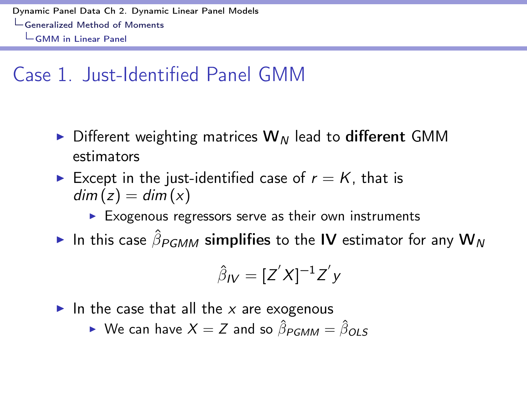## Case 1. Just-Identified Panel GMM

- $\triangleright$  Different weighting matrices  $W_N$  lead to different GMM estimators
- Except in the just-identified case of  $r = K$ , that is  $dim(z) = dim(x)$ 
	- $\blacktriangleright$  Exogenous regressors serve as their own instruments
- In this case  $\hat{\beta}_{PGMM}$  simplifies to the IV estimator for any  $W_N$

$$
\hat{\beta}_{IV} = [Z'X]^{-1}Z'y
$$

- In the case that all the  $x$  are exogenous
	- $\triangleright$  We can have  $X = Z$  and so  $\hat{\beta}_{PGMM} = \hat{\beta}_{OIS}$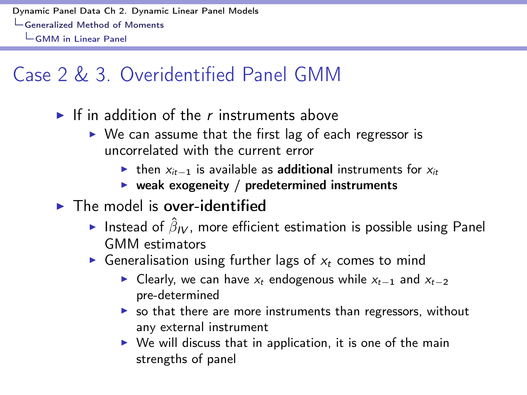## Case 2 & 3. Overidentified Panel GMM

- $\blacktriangleright$  If in addition of the *r* instruments above
	- $\triangleright$  We can assume that the first lag of each regressor is uncorrelated with the current error
		- If then  $x_{it-1}$  is available as **additional** instruments for  $x_{it}$
		- $\triangleright$  weak exogeneity / predetermined instruments
- $\blacktriangleright$  The model is over-identified
	- Instead of  $\hat{\beta}_{IV}$ , more efficient estimation is possible using Panel GMM estimators
	- $\triangleright$  Generalisation using further lags of  $x_t$  comes to mind
		- Exteed Clearly, we can have  $x_t$  endogenous while  $x_{t-1}$  and  $x_{t-2}$ pre-determined
		- $\triangleright$  so that there are more instruments than regressors, without any external instrument
		- $\triangleright$  We will discuss that in application, it is one of the main strengths of panel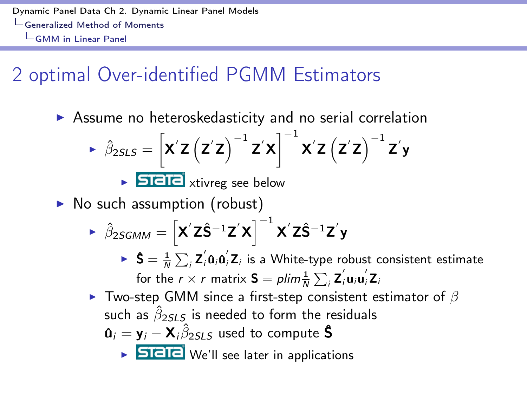## 2 optimal Over-identified PGMM Estimators

 $\triangleright$  Assume no heteroskedasticity and no serial correlation

$$
\triangleright \hat{\beta}_{2SLS} = \left[ \mathbf{X}' \mathbf{Z} \left( \mathbf{Z}' \mathbf{Z} \right)^{-1} \mathbf{Z}' \mathbf{X} \right]^{-1} \mathbf{X}' \mathbf{Z} \left( \mathbf{Z}' \mathbf{Z} \right)^{-1} \mathbf{Z}' \mathbf{y}
$$

 $\triangleright$  **DIEIE** xtivreg see below

 $\triangleright$  No such assumption (robust)

$$
\blacktriangleright \ \hat{\beta}_{2SGMM} = \left[ \boldsymbol{X}^{\prime} \boldsymbol{Z} \hat{\boldsymbol{S}}^{-1} \boldsymbol{Z}^{\prime} \boldsymbol{X} \right]^{-1} \boldsymbol{X}^{\prime} \boldsymbol{Z} \hat{\boldsymbol{S}}^{-1} \boldsymbol{Z}^{\prime} \boldsymbol{y}
$$

- $\blacktriangleright$   $\mathsf{S} = \frac{1}{N} \sum_i \mathsf{Z}_i^{\prime} \mathsf{a}_i \mathsf{a}_i^{\prime} \mathsf{Z}_i$  is a White-type robust consistent estimate for the  $r \times r$  matrix  $\mathbf{S} = \rho \lim \frac{1}{N} \sum_i \mathbf{Z}_i' \mathbf{u}_i \mathbf{u}_i' \mathbf{Z}_i$
- $\blacktriangleright$  Two-step GMM since a first-step consistent estimator of  $\beta$ such as  $\hat{\beta}_{2SLS}$  is needed to form the residuals  $\mathbf{u}_i = \mathbf{y}_i - \mathbf{X}_i \hat{\beta}_{2SLS}$  used to compute **\$** 
	- - $\triangleright$  **STETE** We'll see later in applications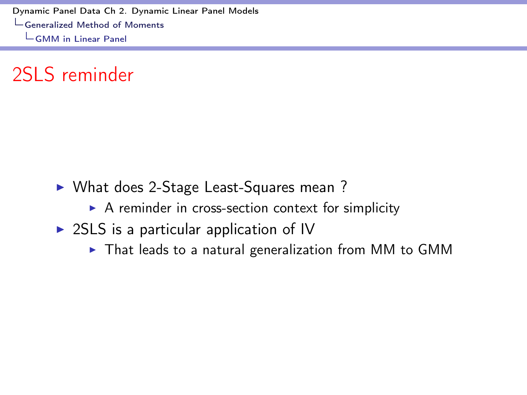2SLS reminder

- ▶ What does 2-Stage Least-Squares mean ?
	- $\triangleright$  A reminder in cross-section context for simplicity
- $\triangleright$  2SLS is a particular application of IV
	- $\triangleright$  That leads to a natural generalization from MM to GMM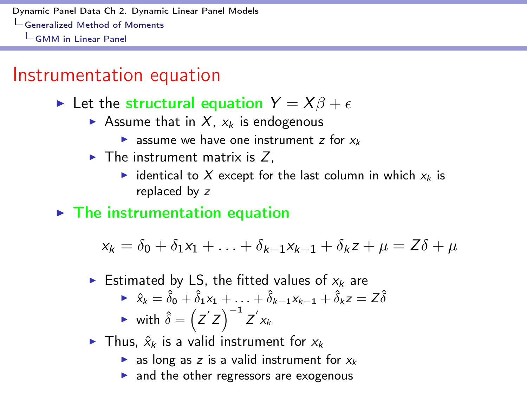#### Instrumentation equation

In Let the structural equation  $Y = X\beta + \epsilon$ 

- Assume that in  $X$ ,  $x_k$  is endogenous
	- $\triangleright$  assume we have one instrument *z* for  $x_k$
- $\blacktriangleright$  The instrument matrix is Z,
	- identical to X except for the last column in which  $x_k$  is replaced by *z*

 $\blacktriangleright$  The instrumentation equation

$$
x_k = \delta_0 + \delta_1 x_1 + \ldots + \delta_{k-1} x_{k-1} + \delta_k z + \mu = Z\delta + \mu
$$

- Estimated by LS, the fitted values of  $x_k$  are
	- $\hat{x}_k = \hat{\delta}_0 + \hat{\delta}_1 x_1 + \ldots + \hat{\delta}_{k-1} x_{k-1} + \hat{\delta}_k z = Z \hat{\delta}$  $\blacktriangleright$  with  $\hat{\delta} = \left(Z^{'}Z\right)^{-1}Z^{'}x_{k}$
- If Thus,  $\hat{x}_k$  is a valid instrument for  $x_k$ 
	- $\triangleright$  as long as *z* is a valid instrument for  $x_k$
	- $\blacktriangleright$  and the other regressors are exogenous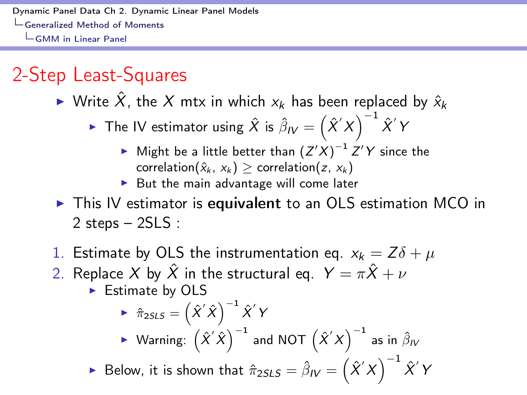## 2-Step Least-Squares

▶ Write  $\hat{X}$ , the  $X$  mtx in which  $x_k$  has been replaced by  $\hat{x}_k$ 

• The IV estimator using 
$$
\hat{X}
$$
 is  $\hat{\beta}_IV = (\hat{X}'X)^{-1}\hat{X}'Y$ 

- $\blacktriangleright$  Might be a little better than  $(Z'X)^{-1}Z'Y$  since the correlation( $\hat{x}_k$ ,  $x_k$ )  $\geq$  correlation( $z$ ,  $x_k$ )
- $\triangleright$  But the main advantage will come later
- $\triangleright$  This IV estimator is equivalent to an OLS estimation MCO in 2 steps – 2SLS :
- 1. Estimate by OLS the instrumentation eq.  $x_k = Z\delta + \mu$
- 2. Replace *X* by  $\hat{X}$  in the structural eq.  $Y = \pi \hat{X} + \nu$ 
	- $\blacktriangleright$  Estimate by OLS

► 
$$
\hat{\pi}_{2SLS} = (\hat{X}'\hat{X})^{-1}\hat{X}'Y
$$
  
\n► Warning:  $(\hat{X}'\hat{X})^{-1}$  and NOT  $(\hat{X}'X)^{-1}$  as in  $\hat{\beta}_iV$ 

 $\blacktriangleright$  Below, it is shown that  $\hat{\pi}_{2SLS} = \hat{\beta}_\mathsf{IV} = \left(\hat{X}'X\right)^{-1}$ *X*ˆ0 *Y*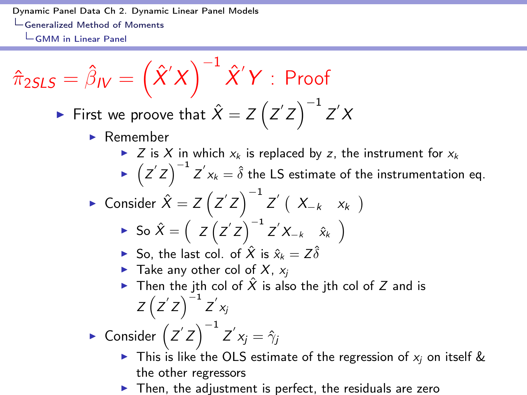$$
\hat{\pi}_{2SLS} = \hat{\beta}_{IV} = \left(\hat{X}'X\right)^{-1}\hat{X}'Y : \text{Proof}
$$

• First we prove that 
$$
\hat{X} = Z(Z'Z)^{-1}Z'X
$$

- $\blacktriangleright$  Remember
	- $\triangleright$  *Z* is *X* in which  $x_k$  is replaced by *z*, the instrument for  $x_k$
	- $\blacktriangleright$   $\left(Z^{'}Z\right)^{-1}Z^{'}x_{k}=\hat{\delta}$  the LS estimate of the instrumentation eq.
- ► Consider  $\hat{X} = Z(Z'Z)^{-1}Z' (X_{-k} x_k)$

$$
\triangleright \text{ So } \hat{X} = \left( Z(Z'Z) \right)^{-1} Z' X_{-k} \hat{x}_k \right)
$$

- $\blacktriangleright$  So, the last col. of  $\hat{X}$  is  $\hat{x}_k = Z \hat{\delta}$
- $\blacktriangleright$  Take any other col of X,  $x_i$
- ▶ Then the jth col of  $\hat{X}$  is also the jth col of  $Z$  and is  $Z(Z'Z)^{-1}Z'x_j$

 $\blacktriangleright$  Consider  $\left( Z' Z \right)^{-1} Z' x_j = \hat{\gamma}_j$ 

- If This is like the OLS estimate of the regression of  $x_i$  on itself & the other regressors
- $\blacktriangleright$  Then, the adjustment is perfect, the residuals are zero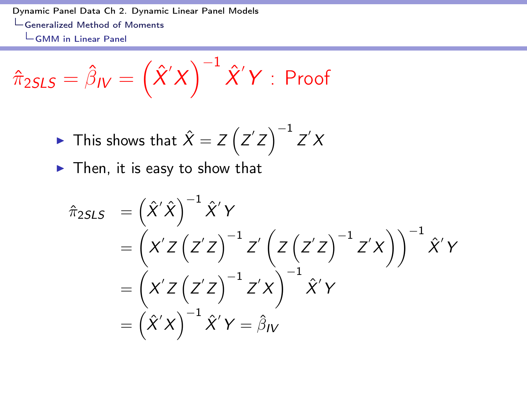$$
\hat{\pi}_{2SLS} = \hat{\beta}_{\textit{IV}} = \left(\hat{X}'X\right)^{-1}\hat{X}'Y : \text{Proof}
$$

$$
\triangleright
$$
 This shows that  $\hat{X} = Z(Z'Z)^{-1}Z'X$ 

 $\blacktriangleright$  Then, it is easy to show that

$$
\hat{\pi}_{2SLS} = (\hat{X}'\hat{X})^{-1}\hat{X}'Y
$$
\n
$$
= (\mathbf{X}'Z(\mathbf{Z}'Z)^{-1}\mathbf{Z}'(\mathbf{Z}(\mathbf{Z}'Z)^{-1}\mathbf{Z}'X))^{-1}\hat{X}'Y
$$
\n
$$
= (\mathbf{X}'Z(\mathbf{Z}'Z)^{-1}\mathbf{Z}'X)^{-1}\hat{X}'Y
$$
\n
$$
= (\hat{X}'X)^{-1}\hat{X}'Y = \hat{\beta}_IV
$$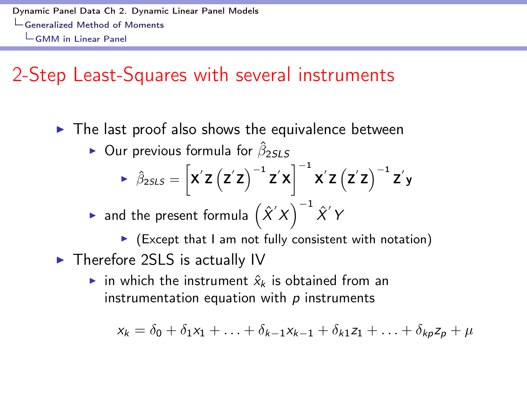### 2-Step Least-Squares with several instruments

- $\triangleright$  The last proof also shows the equivalence between
	- $\triangleright$  Our previous formula for  $\hat{\beta}_{25L5}$

$$
\triangleright \hat{\beta}_{2SLS} = \left[ \mathbf{X}' \mathbf{Z} \left( \mathbf{Z}' \mathbf{Z} \right)^{-1} \mathbf{Z}' \mathbf{X} \right]^{-1} \mathbf{X}' \mathbf{Z} \left( \mathbf{Z}' \mathbf{Z} \right)^{-1} \mathbf{Z}' \mathbf{y}
$$

 $\blacktriangleright$  and the present formula  $\left(\hat{X}'X\right)^{-1}\hat{X}'$   $\mathsf{Y}'$ 

 $\triangleright$  (Except that I am not fully consistent with notation)

 $\blacktriangleright$  Therefore 2SLS is actually IV

in which the instrument  $\hat{x}_k$  is obtained from an instrumentation equation with *p* instruments

$$
x_k = \delta_0 + \delta_1 x_1 + \ldots + \delta_{k-1} x_{k-1} + \delta_{k1} z_1 + \ldots + \delta_{kp} z_p + \mu
$$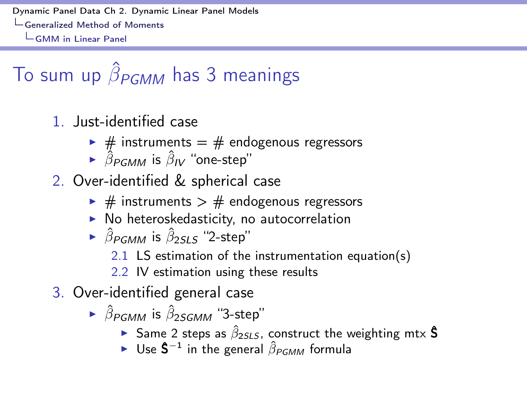# To sum up  $\hat{\beta}_{PGMM}$  has 3 meanings

- 1. Just-identified case
	- $\rightarrow$  # instruments = # endogenous regressors
	- $\rightarrow$   $\hat{\beta}_{PGMM}$  is  $\hat{\beta}_{IV}$  "one-step"
- 2. Over-identified & spherical case
	- $\triangleright$  # instruments  $>$  # endogenous regressors
	- $\triangleright$  No heteroskedasticity, no autocorrelation
	- $\rightarrow$   $\hat{\beta}_{PGMM}$  is  $\hat{\beta}_{2515}$  "2-step"
		- 2.1 LS estimation of the instrumentation equation(s)
		- 2.2 IV estimation using these results
- 3. Over-identified general case
	- $\triangleright$   $\hat{\beta}_{PCMM}$  is  $\hat{\beta}_{25GMM}$  "3-step"
		- **Same 2 steps as**  $\hat{\beta}_{2SLS}$ **, construct the weighting mtx <b>\$**
		- $\triangleright$  Use  $\hat{\mathsf{S}}^{-1}$  in the general  $\hat{\beta}_{PGMM}$  formula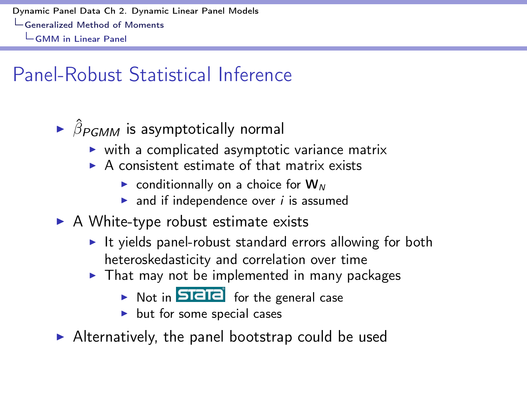## Panel-Robust Statistical Inference

- $\triangleright$   $\hat{\beta}_{PGMM}$  is asymptotically normal
	- $\triangleright$  with a complicated asymptotic variance matrix
	- $\triangleright$  A consistent estimate of that matrix exists
		- $\triangleright$  conditionnally on a choice for  $W_N$
		- $\triangleright$  and if independence over *i* is assumed
- $\triangleright$  A White-type robust estimate exists
	- $\blacktriangleright$  It yields panel-robust standard errors allowing for both heteroskedasticity and correlation over time
	- $\triangleright$  That may not be implemented in many packages
		- $\triangleright$  Not in **STETE** for the general case
		- $\blacktriangleright$  but for some special cases
- $\triangleright$  Alternatively, the panel bootstrap could be used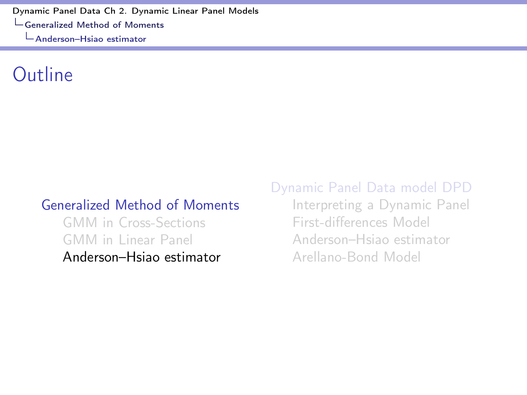### <span id="page-27-0"></span>Outline

#### [Generalized Method of Moments](#page-2-0)

[GMM in Cross-Sections](#page-4-0) [GMM in Linear Panel](#page-11-0) [Anderson–Hsiao estimator](#page-27-0) [Dynamic Panel Data model DPD](#page-35-0)

[Interpreting a Dynamic Panel](#page-37-0) First-diff[erences Model](#page-43-0) [Anderson–Hsiao estimator](#page-46-0) [Arellano-Bond Model](#page-53-0)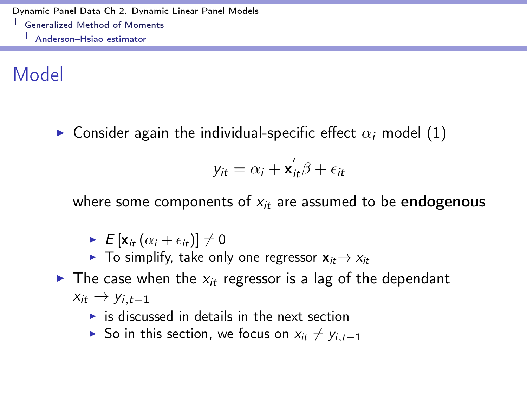Model

 $\triangleright$  Consider again the individual-specific effect  $\alpha_i$  model [\(1\)](#page-12-0)

$$
y_{it} = \alpha_i + \mathbf{x}_{it}'\beta + \epsilon_{it}
$$

where some components of  $x_i$  are assumed to be endogenous

- $\blacktriangleright$   $E[\mathbf{x}_{it}(\alpha_i + \epsilon_{it})] \neq 0$
- $\blacktriangleright$  To simplify, take only one regressor  $\mathbf{x}_{it} \rightarrow x_{it}$
- $\triangleright$  The case when the  $x_i$  regressor is a lag of the dependant  $x_{it} \rightarrow y_{i,t-1}$ 
	- $\triangleright$  is discussed in details in the next section
	- $\triangleright$  So in this section, we focus on  $x_{it} \neq y_{i,t-1}$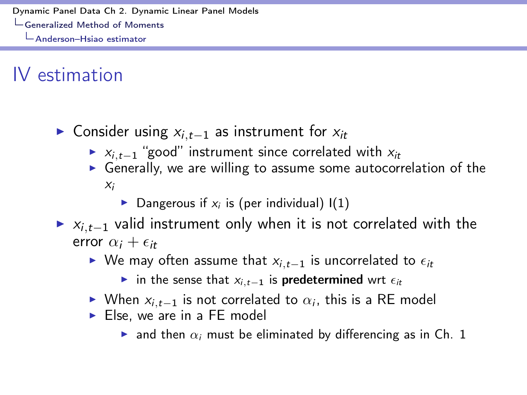## IV estimation

- $\triangleright$  Consider using  $x_{i,t-1}$  as instrument for  $x_{it}$ 
	- $\triangleright$  *x*<sub>*i*,*t*-1</sub> "good" instrument since correlated with *x*<sub>*it*</sub>
	- $\triangleright$  Generally, we are willing to assume some autocorrelation of the *xi*
		- $\triangleright$  Dangerous if  $x_i$  is (per individual)  $I(1)$
- $\blacktriangleright$   $x_{i,t-1}$  valid instrument only when it is not correlated with the error  $\alpha_i + \epsilon_{i\tau}$ 
	- $\blacktriangleright$  We may often assume that  $x_{i,t-1}$  is uncorrelated to  $\epsilon_{it}$ 
		- in the sense that  $x_{i,t-1}$  is predetermined wrt  $\epsilon_{it}$
	- $\triangleright$  When  $x_i$ ,  $t=1$  is not correlated to  $\alpha_i$ , this is a RE model
	- $\triangleright$  Else, we are in a FE model
		- $\triangleright$  and then  $\alpha_i$  must be eliminated by differencing as in Ch. 1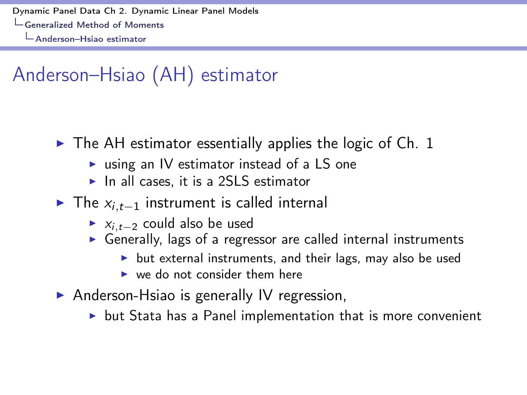## Anderson–Hsiao (AH) estimator

- $\triangleright$  The AH estimator essentially applies the logic of Ch. 1
	- $\triangleright$  using an IV estimator instead of a LS one
	- $\blacktriangleright$  In all cases, it is a 2SLS estimator
- $\triangleright$  The  $x_{i,t-1}$  instrument is called internal
	- $\triangleright$   $X_i$ <sub> $t-2$ </sub> could also be used
	- $\triangleright$  Generally, lags of a regressor are called internal instruments
		- $\triangleright$  but external instruments, and their lags, may also be used
		- $\triangleright$  we do not consider them here
- $\triangleright$  Anderson-Hsiao is generally IV regression,
	- $\triangleright$  but Stata has a Panel implementation that is more convenient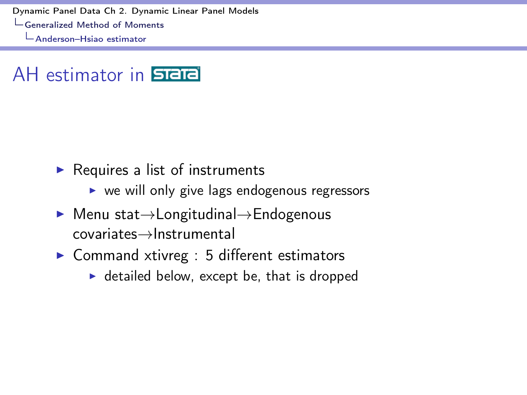#### AH estimator in **STATA**

- $\blacktriangleright$  Requires a list of instruments
	- $\triangleright$  we will only give lags endogenous regressors
- $\blacktriangleright$  Menu stat $\rightarrow$ Longitudinal $\rightarrow$ Endogenous  $covariates \rightarrow Instrumental$
- $\triangleright$  Command xtivreg : 5 different estimators
	- $\blacktriangleright$  detailed below, except be, that is dropped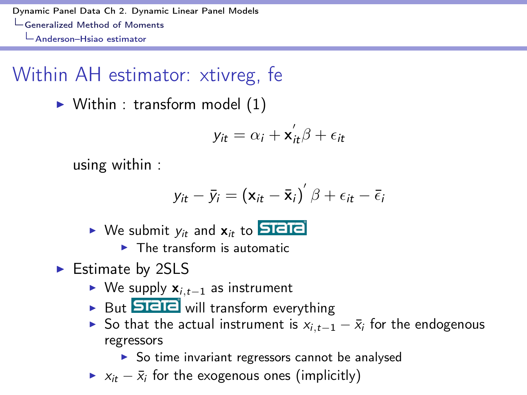## Within AH estimator: xtivreg, fe

 $\triangleright$  Within : transform model [\(1\)](#page-12-0)

$$
y_{it} = \alpha_i + \mathbf{x}_{it}^{\prime} \beta + \epsilon_{it}
$$

using within :

$$
y_{it} - \bar{y}_i = (\mathbf{x}_{it} - \bar{\mathbf{x}}_i)' \beta + \epsilon_{it} - \bar{\epsilon}_i
$$

- $\triangleright$  We submit  $y_{it}$  and  $x_{it}$  to **SIEIE** 
	- $\blacktriangleright$  The transform is automatic
- $\blacktriangleright$  Estimate by 2SLS
	- $\triangleright$  We supply  $x_{i,t-1}$  as instrument
	- But **SIEIE** will transform everything
	- ▶ So that the actual instrument is  $x_{i,t-1} \bar{x}_i$  for the endogenous regressors
		- $\triangleright$  So time invariant regressors cannot be analysed
	- $\triangleright$   $x_{it} \bar{x}_i$  for the exogenous ones (implicitly)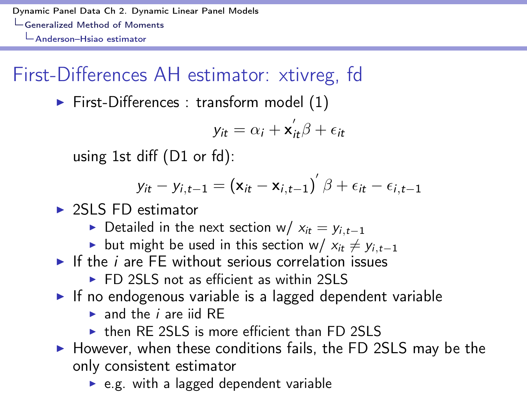## First-Differences AH estimator: xtivreg, fd

 $\blacktriangleright$  First-Differences : transform model [\(1\)](#page-12-0)

$$
y_{it} = \alpha_i + \mathbf{x}_{it}^{\prime} \beta + \epsilon_{it}
$$

using 1st diff (D1 or fd):

$$
y_{it} - y_{i,t-1} = (\mathbf{x}_{it} - \mathbf{x}_{i,t-1})' \beta + \epsilon_{it} - \epsilon_{i,t-1}
$$

 $\triangleright$  2SLS ED estimator

- $\triangleright$  Detailed in the next section w/  $x_{it} = y_{i,t-1}$
- **E** but might be used in this section w/  $x_i \neq y_i$ ,  $t=1$
- $\blacktriangleright$  If the *i* are FE without serious correlation issues
	- $\triangleright$  FD 2SLS not as efficient as within 2SLS
- $\triangleright$  If no endogenous variable is a lagged dependent variable
	- $\blacktriangleright$  and the *i* are iid RF
	- $\triangleright$  then RF 2SLS is more efficient than FD 2SLS
- $\triangleright$  However, when these conditions fails, the FD 2SLS may be the only consistent estimator
	- $\triangleright$  e.g. with a lagged dependent variable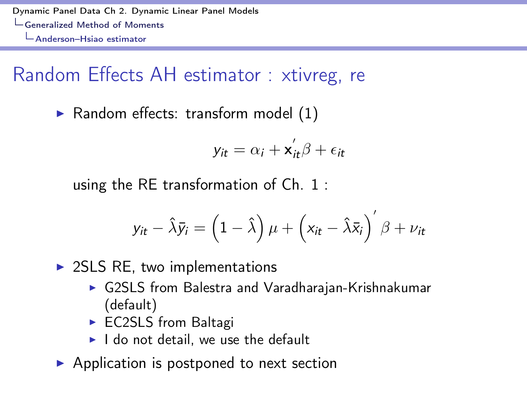## Random Effects AH estimator : xtivreg, re

 $\blacktriangleright$  Random effects: transform model [\(1\)](#page-12-0)

$$
y_{it} = \alpha_i + \mathbf{x}_{it}'\beta + \epsilon_{it}
$$

using the RE transformation of Ch. 1 :

$$
y_{it} - \hat{\lambda}\bar{y}_i = \left(1 - \hat{\lambda}\right)\mu + \left(x_{it} - \hat{\lambda}\bar{x}_i\right)'\beta + \nu_{it}
$$

 $\triangleright$  2SLS RE, two implementations

- ▶ G2SLS from Balestra and Varadharajan-Krishnakumar (default)
- $\triangleright$  EC2SLS from Baltagi
- $\blacktriangleright$  I do not detail, we use the default
- $\blacktriangleright$  Application is postponed to next section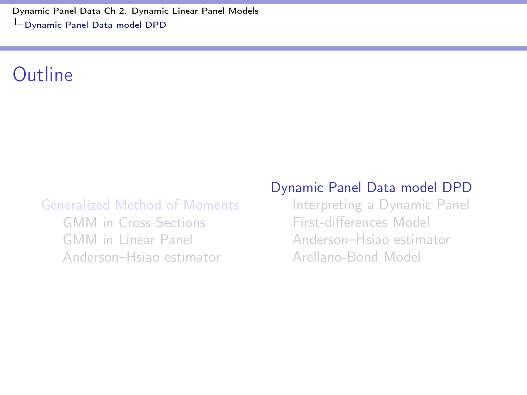<span id="page-35-0"></span>[Dynamic Panel Data Ch 2. Dynamic Linear Panel Models](#page-0-0) [Dynamic Panel Data model DPD](#page-35-0)

#### Outline

#### [Generalized Method of Moments](#page-2-0)

[GMM in Cross-Sections](#page-4-0) [GMM in Linear Panel](#page-11-0) [Anderson–Hsiao estimator](#page-27-0)

#### [Dynamic Panel Data model DPD](#page-35-0)

[Interpreting a Dynamic Panel](#page-37-0) First-diff[erences Model](#page-43-0) [Anderson–Hsiao estimator](#page-46-0) [Arellano-Bond Model](#page-53-0)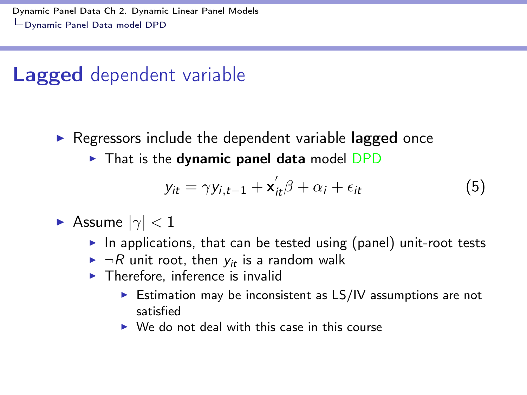## Lagged dependent variable

- $\triangleright$  Regressors include the dependent variable lagged once
	- $\triangleright$  That is the dynamic panel data model DPD

<span id="page-36-0"></span>
$$
y_{it} = \gamma y_{i,t-1} + \mathbf{x}_{it}^{\prime} \beta + \alpha_i + \epsilon_{it}
$$
 (5)

- $\blacktriangleright$  Assume  $|\gamma|$  < 1
	- In applications, that can be tested using (panel) unit-root tests
	- $\blacktriangleright$  *¬R* unit root, then  $y_i$  is a random walk  $\blacktriangleright$  Therefore, inference is invalid
	- - $\triangleright$  Estimation may be inconsistent as LS/IV assumptions are not satisfied
		- $\triangleright$  We do not deal with this case in this course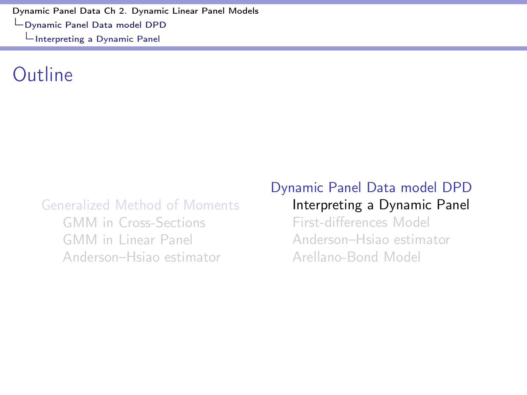#### <span id="page-37-0"></span>Outline

#### [Generalized Method of Moments](#page-2-0)

[GMM in Cross-Sections](#page-4-0) [GMM in Linear Panel](#page-11-0) [Anderson–Hsiao estimator](#page-27-0)

#### [Dynamic Panel Data model DPD](#page-35-0) [Interpreting a Dynamic Panel](#page-37-0)

First-diff[erences Model](#page-43-0) [Anderson–Hsiao estimator](#page-46-0) [Arellano-Bond Model](#page-53-0)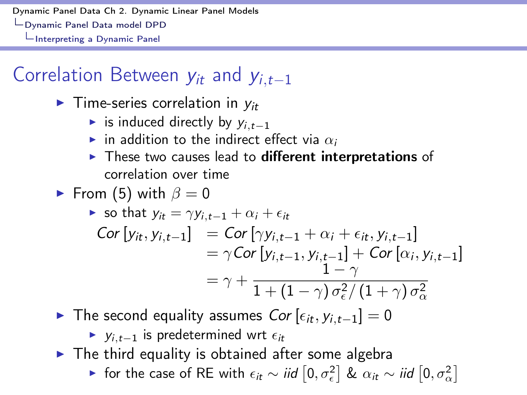## Correlation Between  $y_{it}$  and  $y_{i,t-1}$

- $\blacktriangleright$  Time-series correlation in  $y_{it}$ 
	- is induced directly by  $y_{i,t-1}$
	- in addition to the indirect effect via  $\alpha_i$
	- $\blacktriangleright$  These two causes lead to different interpretations of correlation over time
- From [\(5\)](#page-36-0) with  $\beta = 0$

$$
\begin{aligned}\n\triangleright \text{ so that } y_{it} &= \gamma y_{i,t-1} + \alpha_i + \epsilon_{it} \\
\text{Cor}\left[y_{it}, y_{i,t-1}\right] &= \text{Cor}\left[\gamma y_{i,t-1} + \alpha_i + \epsilon_{it}, y_{i,t-1}\right] \\
&= \gamma \text{Cor}\left[y_{i,t-1}, y_{i,t-1}\right] + \text{Cor}\left[\alpha_i, y_{i,t-1}\right] \\
&= \gamma + \frac{1 - \gamma}{1 + (1 - \gamma) \sigma_{\epsilon}^2 / (1 + \gamma) \sigma_{\alpha}^2}\n\end{aligned}
$$

 $\triangleright$  The second equality assumes *Cor*  $[\epsilon_{it}, y_{i,t-1}] = 0$ 

 $\triangleright$  *y<sub>i* $t-1$ </sub> is predetermined wrt  $\epsilon_{it}$ 

- $\triangleright$  The third equality is obtained after some algebra
	- ► for the case of RE with  $\epsilon_{it} \sim \textit{iid} [0, \sigma_{\epsilon}^2]$  &  $\alpha_{it} \sim \textit{iid} [0, \sigma_{\alpha}^2]$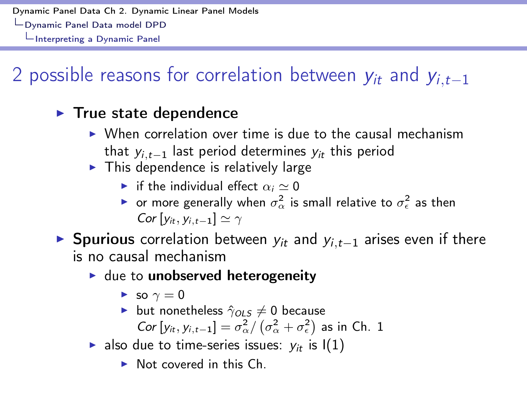## 2 possible reasons for correlation between  $y_{it}$  and  $y_{i,t-1}$

#### $\blacktriangleright$  True state dependence

- $\triangleright$  When correlation over time is due to the causal mechanism that  $y_i$ <sub>t-1</sub> last period determines  $y_i$ <sup>t</sup> this period
- $\triangleright$  This dependence is relatively large
	- $\triangleright$  if the individual effect  $\alpha_i \simeq 0$
	- $\blacktriangleright$  or more generally when  $\sigma_{\alpha}^2$  is small relative to  $\sigma_{\epsilon}^2$  as then *Cor*  $[v_{it}, v_{i,t-1}] \simeq \gamma$

**If** Spurious correlation between  $y_{it}$  and  $y_{i,t-1}$  arises even if there is no causal mechanism

- $\blacktriangleright$  due to unobserved heterogeneity
	- $\blacktriangleright$  so  $\gamma = 0$
	- **b** but nonetheless  $\hat{\gamma}_{OLS} \neq 0$  because *Cor*  $[y_{it}, y_{i,t-1}] = \sigma_{\alpha}^2 / (\sigma_{\alpha}^2 + \sigma_{\epsilon}^2)$  as in Ch. 1
- **also due to time-series issues:**  $y_{it}$  is  $I(1)$ 
	- $\triangleright$  Not covered in this Ch.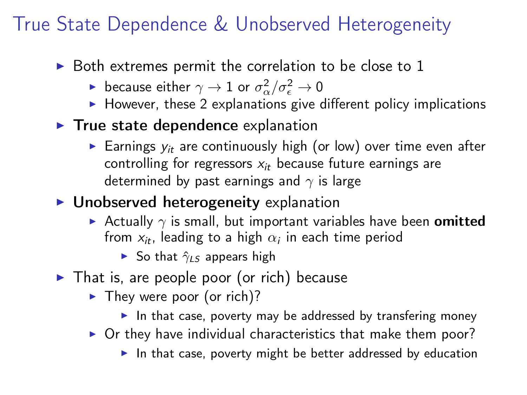## True State Dependence & Unobserved Heterogeneity

- $\triangleright$  Both extremes permit the correlation to be close to 1
	- because either  $\gamma \to 1$  or  $\sigma_\alpha^2/\sigma_\epsilon^2 \to 0$
	- $\blacktriangleright$  However, these 2 explanations give different policy implications
- $\blacktriangleright$  True state dependence explanation
	- $\blacktriangleright$  Earnings  $y_{it}$  are continuously high (or low) over time even after controlling for regressors *xit* because future earnings are determined by past earnings and  $\gamma$  is large
- $\blacktriangleright$  Unobserved heterogeneity explanation
	- Actually  $\gamma$  is small, but important variables have been **omitted** from  $x_i$ , leading to a high  $\alpha_i$  in each time period
		- $\triangleright$  So that  $\hat{\gamma}_{LS}$  appears high
- $\blacktriangleright$  That is, are people poor (or rich) because
	- $\blacktriangleright$  They were poor (or rich)?
		- In that case, poverty may be addressed by transfering money
	- $\triangleright$  Or they have individual characteristics that make them poor?

In that case, poverty might be better addressed by education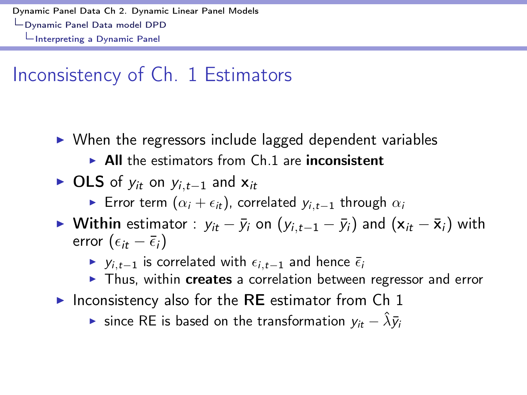## Inconsistency of Ch. 1 Estimators

- $\triangleright$  When the regressors include lagged dependent variables
	- $\triangleright$  All the estimators from Ch.1 are inconsistent
- $\triangleright$  OLS of  $y_{it}$  on  $y_{i,t-1}$  and  $x_{it}$ 
	- **E**rror term  $(\alpha_i + \epsilon_i)$ , correlated  $y_{i,t-1}$  through  $\alpha_i$
- ▶ Within estimator :  $y_{it} \bar{y}_i$  on  $(y_{i,t-1} \bar{y}_i)$  and  $(x_{it} \bar{x}_i)$  with error  $(\epsilon_{it} - \bar{\epsilon}_{i})$ 
	- $\triangleright$  *y*<sub>*i*</sub>,*t*<sub>-1</sub> is correlated with  $\epsilon_{i,t-1}$  and hence  $\bar{\epsilon}_i$
	- $\triangleright$  Thus, within creates a correlation between regressor and error
- Inconsistency also for the RE estimator from Ch 1

 $\triangleright$  since RE is based on the transformation  $v_{it} - \hat{\lambda}\bar{v}_{it}$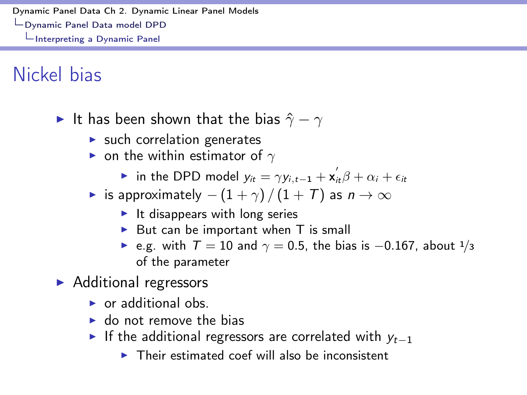Nickel bias

- It has been shown that the bias  $\hat{\gamma} \gamma$ 
	- $\blacktriangleright$  such correlation generates
	- $\triangleright$  on the within estimator of  $\gamma$ 
		- In the DPD model  $y_{it} = \gamma y_{i,t-1} + x_{it}^{'} \beta + \alpha_i + \epsilon_{it}$
	- is approximately  $-(1 + \gamma) / (1 + T)$  as  $n \to \infty$ 
		- $\blacktriangleright$  It disappears with long series
		- $\triangleright$  But can be important when T is small
		- e.g. with  $T = 10$  and  $\gamma = 0.5$ , the bias is  $-0.167$ , about  $1/3$ of the parameter
- $\blacktriangleright$  Additional regressors
	- $\triangleright$  or additional obs.
	- $\blacktriangleright$  do not remove the bias
	- If the additional regressors are correlated with  $y_{t-1}$ 
		- $\triangleright$  Their estimated coef will also be inconsistent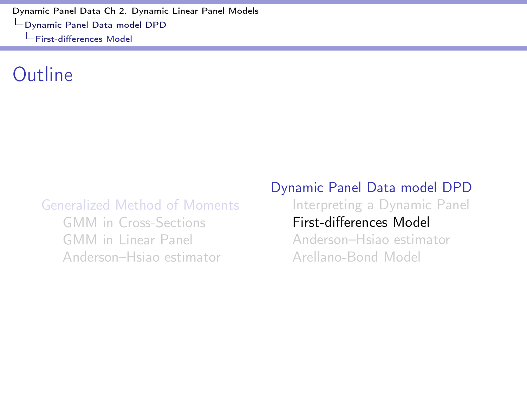<span id="page-43-0"></span>[Dynamic Panel Data Ch 2. Dynamic Linear Panel Models](#page-0-0) [Dynamic Panel Data model DPD](#page-35-0) First-diff[erences Model](#page-43-0)

#### Outline

#### [Generalized Method of Moments](#page-2-0)

[GMM in Cross-Sections](#page-4-0) [GMM in Linear Panel](#page-11-0) [Anderson–Hsiao estimator](#page-27-0)

#### [Dynamic Panel Data model DPD](#page-35-0) [Interpreting a Dynamic Panel](#page-37-0) First-diff[erences Model](#page-43-0)

[Anderson–Hsiao estimator](#page-46-0) [Arellano-Bond Model](#page-53-0)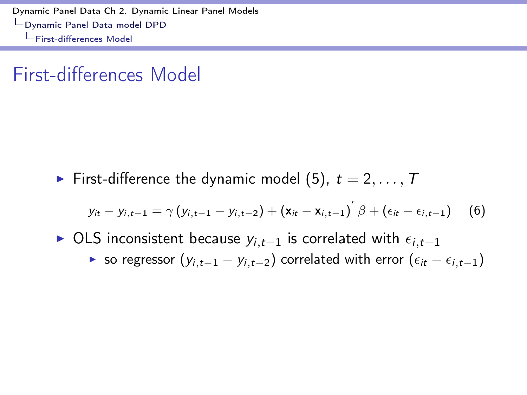[Dynamic Panel Data Ch 2. Dynamic Linear Panel Models](#page-0-0) [Dynamic Panel Data model DPD](#page-35-0) First-diff[erences Model](#page-43-0)

#### First-differences Model

First-difference the dynamic model [\(5\)](#page-36-0),  $t = 2, \ldots, T$ 

<span id="page-44-0"></span>
$$
y_{it} - y_{i,t-1} = \gamma (y_{i,t-1} - y_{i,t-2}) + (x_{it} - x_{i,t-1})^{'} \beta + (\epsilon_{it} - \epsilon_{i,t-1})
$$
 (6)

 $\triangleright$  OLS inconsistent because  $y_{i,t-1}$  is correlated with  $\epsilon_{i,t-1}$ ▶ so regressor  $(y_{i,t-1} - y_{i,t-2})$  correlated with error  $(\epsilon_{it} - \epsilon_{i,t-1})$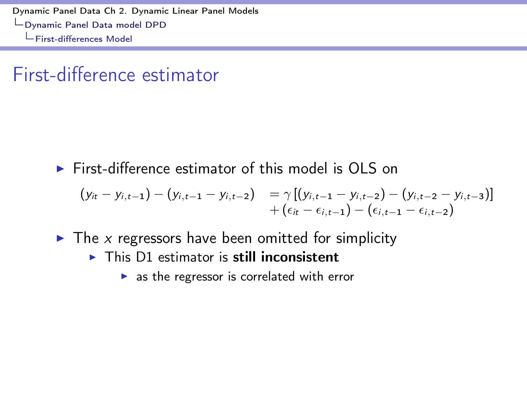[Dynamic Panel Data Ch 2. Dynamic Linear Panel Models](#page-0-0) [Dynamic Panel Data model DPD](#page-35-0) First-diff[erences Model](#page-43-0)

#### First-difference estimator

 $\triangleright$  First-difference estimator of this model is OLS on

$$
(y_{it} - y_{i,t-1}) - (y_{i,t-1} - y_{i,t-2}) = \gamma [(y_{i,t-1} - y_{i,t-2}) - (y_{i,t-2} - y_{i,t-3})] + (\epsilon_{it} - \epsilon_{i,t-1}) - (\epsilon_{i,t-1} - \epsilon_{i,t-2})
$$

- $\triangleright$  The *x* regressors have been omitted for simplicity
	- $\triangleright$  This D1 estimator is still inconsistent
		- $\triangleright$  as the regressor is correlated with error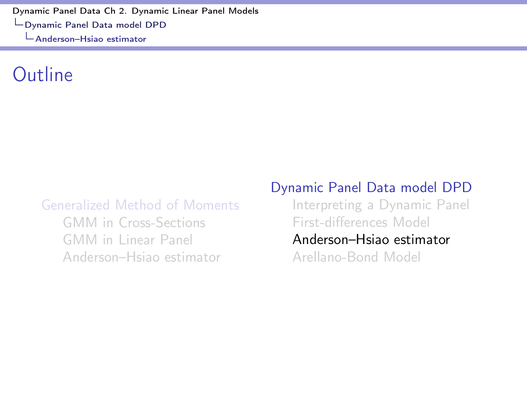#### <span id="page-46-0"></span>Outline

#### [Generalized Method of Moments](#page-2-0)

[GMM in Cross-Sections](#page-4-0) [GMM in Linear Panel](#page-11-0) [Anderson–Hsiao estimator](#page-27-0)

#### [Dynamic Panel Data model DPD](#page-35-0)

[Interpreting a Dynamic Panel](#page-37-0) First-diff[erences Model](#page-43-0)

#### [Anderson–Hsiao estimator](#page-46-0)

[Arellano-Bond Model](#page-53-0)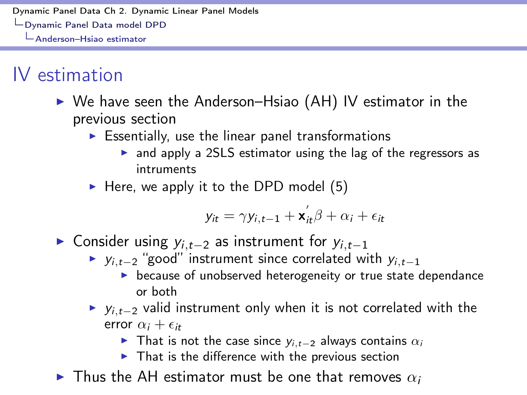## IV estimation

- $\triangleright$  We have seen the Anderson–Hsiao (AH) IV estimator in the previous section
	- $\triangleright$  Essentially, use the linear panel transformations
		- $\triangleright$  and apply a 2SLS estimator using the lag of the regressors as intruments
	- $\blacktriangleright$  Here, we apply it to the DPD model [\(5\)](#page-36-0)

$$
y_{it} = \gamma y_{i,t-1} + \mathbf{x}_{it}^{'} \beta + \alpha_i + \epsilon_{it}
$$

- $\triangleright$  Consider using  $y_{i,t-2}$  as instrument for  $y_{i,t-1}$ 
	- $\triangleright$  *y*<sub>*i*</sub>*,t*<sub>-2</sub> "good" instrument since correlated with *y*<sub>*i*</sub>*,t*<sub>-1</sub>
		- $\blacktriangleright$  because of unobserved heterogeneity or true state dependance or both
	- $y_{i,t-2}$  valid instrument only when it is not correlated with the error  $\alpha_i + \epsilon_{it}$ 
		- That is not the case since  $y_{i,t-2}$  always contains  $\alpha_i$
		- $\blacktriangleright$  That is the difference with the previous section
- $\blacktriangleright$  Thus the AH estimator must be one that removes  $\alpha_i$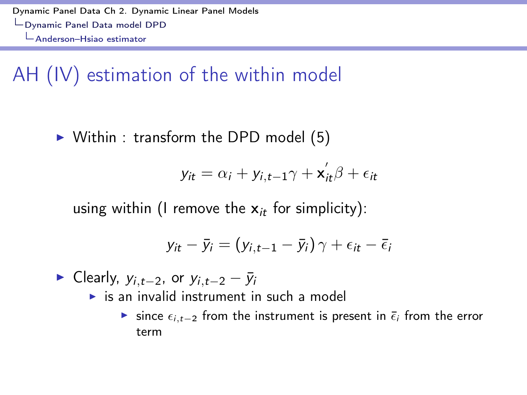## AH (IV) estimation of the within model

 $\triangleright$  Within : transform the DPD model [\(5\)](#page-36-0)

$$
y_{it} = \alpha_i + y_{i,t-1}\gamma + \mathbf{x}_{it}^{\prime}\beta + \epsilon_{it}
$$

using within (I remove the x*it* for simplicity):

$$
y_{it} - \bar{y}_i = (y_{i,t-1} - \bar{y}_i) \gamma + \epsilon_{it} - \bar{\epsilon}_i
$$

 $\blacktriangleright$  Clearly,  $y_{i,t-2}$ , or  $y_{i,t-2} - \bar{y}_i$ 

- $\triangleright$  is an invalid instrument in such a model
	- **If** since  $\epsilon_{i,t-2}$  from the instrument is present in  $\bar{\epsilon}_i$  from the error term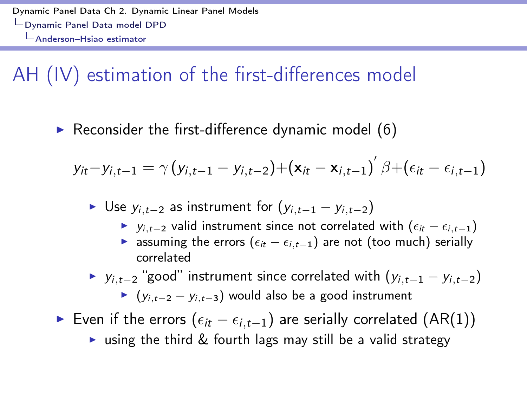## AH (IV) estimation of the first-differences model

 $\triangleright$  Reconsider the first-difference dynamic model [\(6\)](#page-44-0)

$$
y_{it}-y_{i,t-1}=\gamma\left(y_{i,t-1}-y_{i,t-2}\right)+\left(\mathbf{x}_{it}-\mathbf{x}_{i,t-1}\right)'\beta+\left(\epsilon_{it}-\epsilon_{i,t-1}\right)
$$

▶ Use  $y_{i,t-2}$  as instrument for  $(y_{i,t-1} - y_{i,t-2})$ 

- $\triangleright$  *y*<sub>*i*,*t*-2</sub> valid instrument since not correlated with  $(\epsilon_{it} \epsilon_{i,t-1})$
- **Example 1** assuming the errors ( $\epsilon_{it} \epsilon_{i,t-1}$ ) are not (too much) serially correlated

 $\triangleright$  *y*<sub>*i*</sub>*,t*<sub>-2</sub> "good" instrument since correlated with  $(y_{i,t-1} - y_{i,t-2})$  $\blacktriangleright$  ( $y_{i,t-2} - y_{i,t-3}$ ) would also be a good instrument

- ► Even if the errors  $(\epsilon_{it} \epsilon_{i,t-1})$  are serially correlated (AR(1))
	- ightharpoonup using the third  $\&$  fourth lags may still be a valid strategy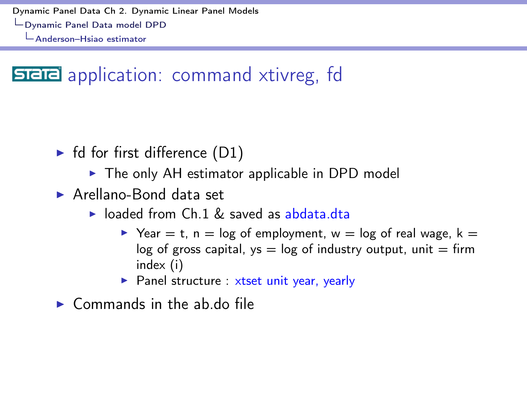## **SIEIE** application: command xtivreg, fd

- $\blacktriangleright$  fd for first difference (D1)
	- $\triangleright$  The only AH estimator applicable in DPD model
- $\blacktriangleright$  Arellano-Bond data set
	- $\triangleright$  loaded from Ch.1 & saved as abdata.dta
		- $\triangleright$  Year = t, n = log of employment, w = log of real wage, k = log of gross capital,  $ys = log$  of industry output, unit  $=$  firm index (i)
		- $\blacktriangleright$  Panel structure : xtset unit year, yearly

 $\triangleright$  Commands in the ab.do file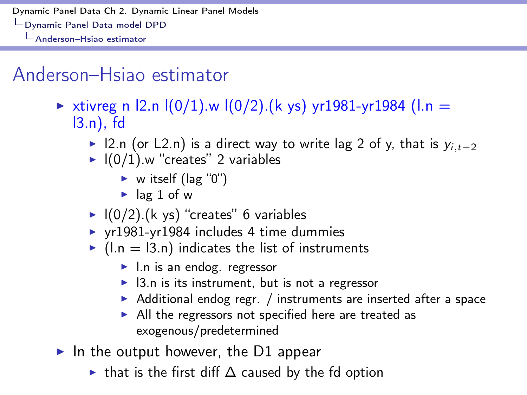## Anderson–Hsiao estimator

- ► xtivreg n  $\vert 2 \ln \vert (0/1) \ln \vert (0/2) \vert (k \text{ ys}) \text{ yr} 1981 \text{-yr} 1984 \text{ (l.n =}$ l3.n), fd
	- ▶ 12.n (or L2.n) is a direct way to write lag 2 of y, that is  $y_i$ <sub>t-2</sub>
	- $\blacktriangleright$   $I(0/1)$ .w "creates" 2 variables
		- $\triangleright$  w itself (lag "0")
		- $\blacktriangleright$  lag 1 of w
	- $\blacktriangleright$   $\lfloor (0/2) \rfloor$  (k ys) "creates" 6 variables
	- $\triangleright$  yr1981-yr1984 includes 4 time dummies
	- $\blacktriangleright$  (l.n = l3.n) indicates the list of instruments
		- $\blacktriangleright$  l.n is an endog. regressor
		- $\blacktriangleright$  13.n is its instrument, but is not a regressor
		- $\triangleright$  Additional endog regr. / instruments are inserted after a space
		- $\blacktriangleright$  All the regressors not specified here are treated as exogenous/predetermined
- In the output however, the D1 appear
	- In that is the first diff  $\Delta$  caused by the fd option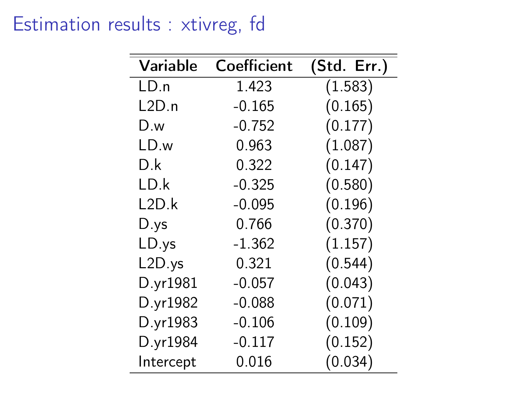### Estimation results : xtivreg, fd

| Variable  | Coefficient | (Std. Err.) |
|-----------|-------------|-------------|
| LD.n      | 1.423       | (1.583)     |
| L2D.n     | $-0.165$    | (0.165)     |
| D.w       | $-0.752$    | (0.177)     |
| LD.w      | 0.963       | (1.087)     |
| D.k       | 0.322       | (0.147)     |
| LD.k      | $-0.325$    | (0.580)     |
| L2D.k     | $-0.095$    | (0.196)     |
| D.ys      | 0.766       | (0.370)     |
| LD.ys     | $-1.362$    | (1.157)     |
| L2D.ys    | 0.321       | (0.544)     |
| D.yr1981  | $-0.057$    | (0.043)     |
| D.yr1982  | $-0.088$    | (0.071)     |
| D.yr1983  | $-0.106$    | (0.109)     |
| D.yr1984  | $-0.117$    | (0.152)     |
| Intercept | 0.016       | (0.034)     |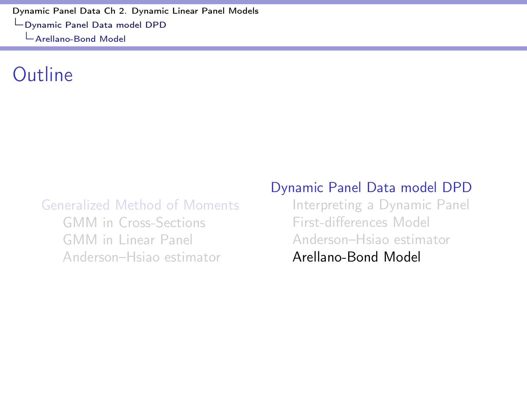#### <span id="page-53-0"></span>Outline

#### [Generalized Method of Moments](#page-2-0)

[GMM in Cross-Sections](#page-4-0) [GMM in Linear Panel](#page-11-0) [Anderson–Hsiao estimator](#page-27-0)

#### [Dynamic Panel Data model DPD](#page-35-0)

[Interpreting a Dynamic Panel](#page-37-0) First-diff[erences Model](#page-43-0) [Anderson–Hsiao estimator](#page-46-0) [Arellano-Bond Model](#page-53-0)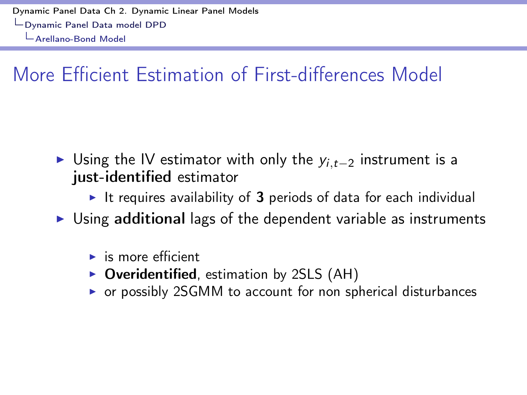# More Efficient Estimation of First-differences Model

- If Using the IV estimator with only the  $y_{i,t-2}$  instrument is a just-identified estimator
	- It requires availability of 3 periods of data for each individual
- $\triangleright$  Using additional lags of the dependent variable as instruments
	- $\blacktriangleright$  is more efficient
	- $\triangleright$  Overidentified, estimation by 2SLS (AH)
	- $\triangleright$  or possibly 2SGMM to account for non spherical disturbances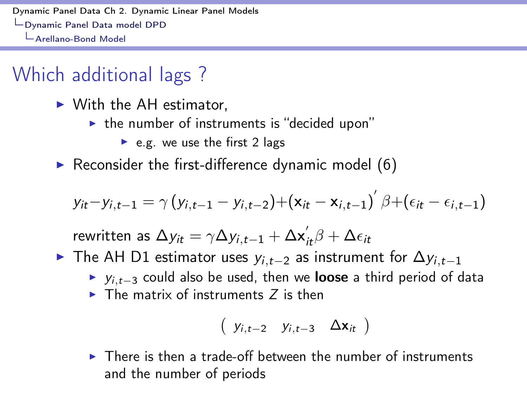## Which additional lags ?

- $\triangleright$  With the AH estimator,
	- $\blacktriangleright$  the number of instruments is "decided upon"
		- $\blacktriangleright$  e.g. we use the first 2 lags
- $\triangleright$  Reconsider the first-difference dynamic model [\(6\)](#page-44-0)

$$
y_{it} - y_{i,t-1} = \gamma (y_{i,t-1} - y_{i,t-2}) + (\mathbf{x}_{it} - \mathbf{x}_{i,t-1})' \beta + (\epsilon_{it} - \epsilon_{i,t-1})
$$

rewritten as  $\Delta y_{it} = \gamma \Delta y_{i,t-1} + \Delta \mathbf{x}_{it}^{\prime} \beta + \Delta \epsilon_{it}$ 

- $\triangleright$  The AH D1 estimator uses  $y_{i,t-2}$  as instrument for  $\Delta y_{i,t-1}$ 
	- $y_{i,t-3}$  could also be used, then we **loose** a third period of data
	- $\triangleright$  The matrix of instruments  $\zeta$  is then

$$
\left(\begin{array}{cccc}y_{i,t-2} & y_{i,t-3} & \Delta \textbf{x}_{it}\end{array}\right)
$$

 $\triangleright$  There is then a trade-off between the number of instruments and the number of periods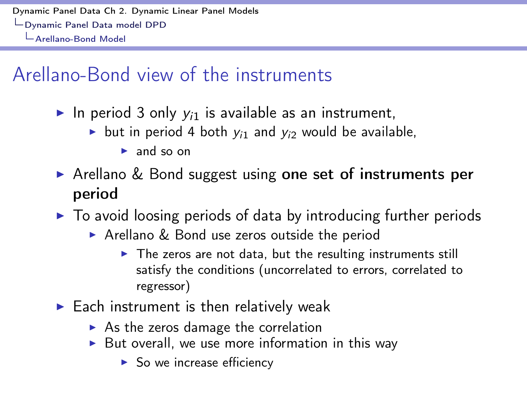## Arellano-Bond view of the instruments

- In period 3 only  $y_{i1}$  is available as an instrument,
	- but in period 4 both  $y_i$ <sup>1</sup> and  $y_i$ <sup>2</sup> would be available,
		- $\blacktriangleright$  and so on
- $\triangleright$  Arellano & Bond suggest using one set of instruments per period
- $\triangleright$  To avoid loosing periods of data by introducing further periods
	- $\triangleright$  Arellano & Bond use zeros outside the period
		- $\triangleright$  The zeros are not data, but the resulting instruments still satisfy the conditions (uncorrelated to errors, correlated to regressor)
- $\blacktriangleright$  Each instrument is then relatively weak
	- $\triangleright$  As the zeros damage the correlation
	- $\triangleright$  But overall, we use more information in this way
		- $\blacktriangleright$  So we increase efficiency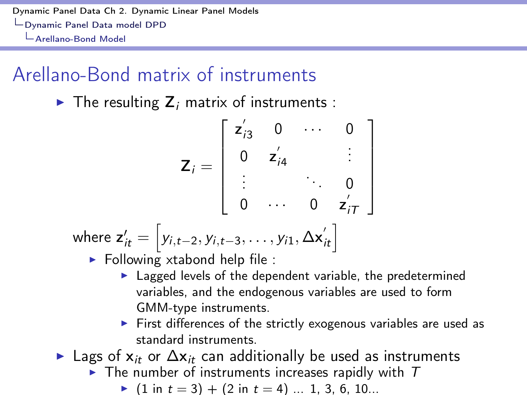## Arellano-Bond matrix of instruments

 $\blacktriangleright$  The resulting  $Z_i$  matrix of instruments :

$$
\mathbf{Z}_{i} = \begin{bmatrix} z'_{i3} & 0 & \cdots & 0 \\ 0 & z'_{i4} & & \vdots \\ \vdots & & \ddots & 0 \\ 0 & \cdots & 0 & z'_{iT} \end{bmatrix}
$$
  
where  $z'_{it} = [y_{i,t-2}, y_{i,t-3}, \dots, y_{i1}, \Delta x'_{it}]$   
  $\triangleright$  Following xtabond help file :

- $\blacktriangleright$  Lagged levels of the dependent variable, the predetermined variables, and the endogenous variables are used to form GMM-type instruments.
- $\blacktriangleright$  First differences of the strictly exogenous variables are used as standard instruments.
- $\blacktriangleright$  Lags of  $x_{it}$  or  $\Delta x_{it}$  can additionally be used as instruments
	- $\blacktriangleright$  The number of instruments increases rapidly with  $T$

$$
(1 \text{ in } t = 3) + (2 \text{ in } t = 4) \dots 1, 3, 6, 10...
$$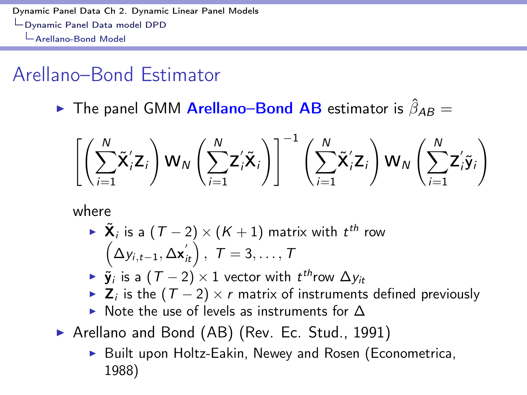## Arellano–Bond Estimator

 $\triangleright$  The panel GMM **Arellano–Bond AB** estimator is  $\hat{\beta}_{AB} =$ 

$$
\left[\left(\sum_{i=1}^N \tilde{\mathbf{X}}'_i \mathbf{Z}_i\right) \mathbf{W}_N \left(\sum_{i=1}^N \mathbf{Z}'_i \tilde{\mathbf{X}}_i\right)\right]^{-1} \left(\sum_{i=1}^N \tilde{\mathbf{X}}'_i \mathbf{Z}_i\right) \mathbf{W}_N \left(\sum_{i=1}^N \mathbf{Z}'_i \tilde{\mathbf{y}}_i\right)
$$

where

- ►  $\tilde{\mathbf{X}}_i$  is a  $(T 2) \times (K + 1)$  matrix with  $t^{th}$  row<br>  $\left(\Delta y_{i,t-1}, \Delta \mathbf{x}^{'}_{it}\right), \ T = 3, \ldots, T$
- $\triangleright$   $\tilde{\mathbf{y}}_i$  is a  $(T 2) \times 1$  vector with  $t^{th}$ row  $\Delta y_i$
- $\triangleright$  **Z**<sub>*i*</sub> is the  $(T 2) \times r$  matrix of instruments defined previously
- $\triangleright$  Note the use of levels as instruments for  $\Lambda$
- ▶ Arellano and Bond (AB) (Rev. Ec. Stud., 1991)
	- $\triangleright$  Built upon Holtz-Eakin, Newey and Rosen (Econometrica, 1988)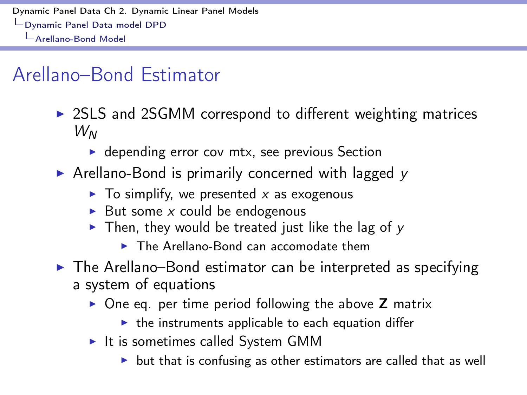## Arellano–Bond Estimator

- $\triangleright$  2SLS and 2SGMM correspond to different weighting matrices *W<sup>N</sup>*
	- $\triangleright$  depending error cov mtx, see previous Section
- ▶ Arellano-Bond is primarily concerned with lagged *y* 
	- $\triangleright$  To simplify, we presented x as exogenous
	- $\triangleright$  But some *x* could be endogenous
	- $\triangleright$  Then, they would be treated just like the lag of y
		- $\triangleright$  The Arellano-Bond can accomodate them
- $\triangleright$  The Arellano–Bond estimator can be interpreted as specifying a system of equations
	- $\triangleright$  One eq. per time period following the above **Z** matrix
		- $\blacktriangleright$  the instruments applicable to each equation differ
	- $\blacktriangleright$  It is sometimes called System GMM
		- $\triangleright$  but that is confusing as other estimators are called that as well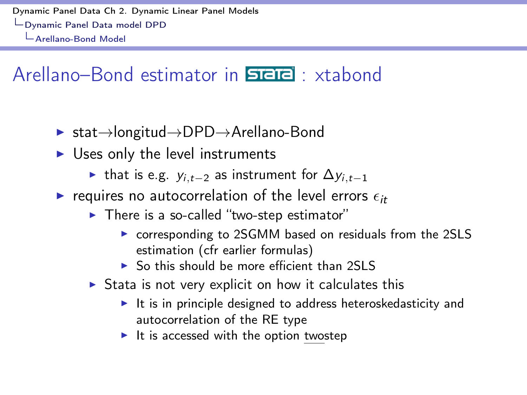## Arellano–Bond estimator in **STETE**: xtabond

- $\triangleright$  stat $\rightarrow$ longitud $\rightarrow$ DPD $\rightarrow$ Arellano-Bond
- $\triangleright$  Uses only the level instruments
	- If that is e.g.  $y_{i,t-2}$  as instrument for  $\Delta y_{i,t-1}$
- requires no autocorrelation of the level errors  $\epsilon_{it}$ 
	- $\triangleright$  There is a so-called "two-step estimator"
		- corresponding to 2SGMM based on residuals from the 2SLS estimation (cfr earlier formulas)
		- $\triangleright$  So this should be more efficient than 2SLS
	- $\triangleright$  Stata is not very explicit on how it calculates this
		- $\blacktriangleright$  It is in principle designed to address heteroskedasticity and autocorrelation of the RE type
		- $\blacktriangleright$  It is accessed with the option twostep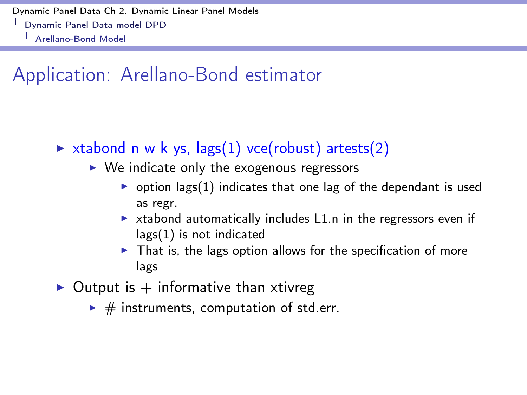## Application: Arellano-Bond estimator

- $\triangleright$  xtabond n w k ys, lags(1) vce(robust) artests(2)
	- $\triangleright$  We indicate only the exogenous regressors
		- poption lags(1) indicates that one lag of the dependant is used as regr.
		- $\triangleright$  xtabond automatically includes L1.n in the regressors even if lags(1) is not indicated
		- $\triangleright$  That is, the lags option allows for the specification of more lags
- $\triangleright$  Output is  $+$  informative than xtivreg
	- $\blacktriangleright$  # instruments, computation of std.err.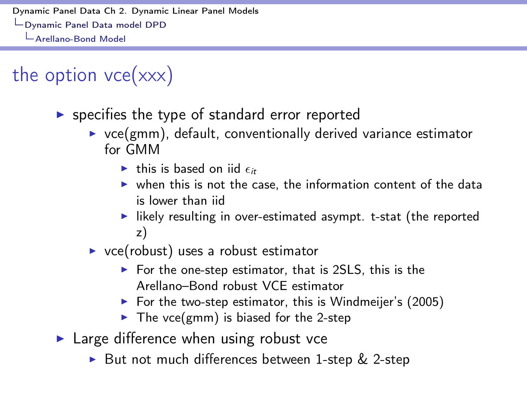the option  $vec(xxx)$ 

- $\triangleright$  specifies the type of standard error reported
	- $\triangleright$  vce(gmm), default, conventionally derived variance estimator for GMM
		- $\blacktriangleright$  this is based on iid  $\epsilon$ <sup>2</sup>
		- $\triangleright$  when this is not the case, the information content of the data is lower than iid
		- $\blacktriangleright$  likely resulting in over-estimated asympt. t-stat (the reported z)
	- $\triangleright$  vce(robust) uses a robust estimator
		- $\triangleright$  For the one-step estimator, that is 2SLS, this is the Arellano–Bond robust VCE estimator
		- $\triangleright$  For the two-step estimator, this is Windmeijer's (2005)
		- $\blacktriangleright$  The vce(gmm) is biased for the 2-step
- $\blacktriangleright$  Large difference when using robust vce
	- ▶ But not much differences between 1-step & 2-step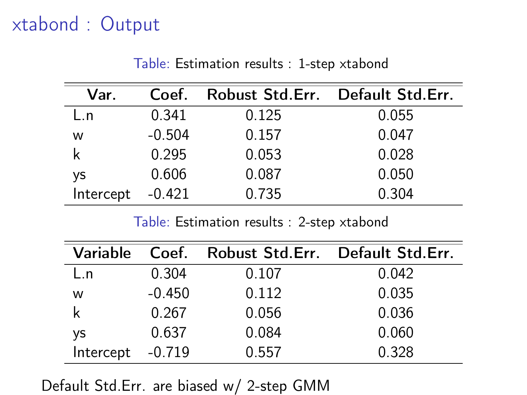## xtabond : Output

| Var.      | Coef.    |       | Robust Std.Err. Default Std.Err. |
|-----------|----------|-------|----------------------------------|
| L.n       | 0.341    | 0.125 | 0.055                            |
| w         | $-0.504$ | 0.157 | 0.047                            |
| k         | 0.295    | 0.053 | 0.028                            |
| <b>VS</b> | 0.606    | 0.087 | 0.050                            |
| Intercept | $-0.421$ | 0.735 | 0.304                            |

Table: Estimation results : 1-step xtabond

Table: Estimation results : 2-step xtabond

| Variable  |          | Coef. Robust Std.Err. Default Std.Err. |       |
|-----------|----------|----------------------------------------|-------|
| L.n       | 0.304    | 0.107                                  | 0.042 |
| w         | $-0.450$ | 0.112                                  | 0.035 |
| k         | 0.267    | 0.056                                  | 0.036 |
| <b>ys</b> | 0.637    | 0.084                                  | 0.060 |
| Intercept | $-0.719$ | 0.557                                  | 0.328 |

Default Std.Err. are biased w/ 2-step GMM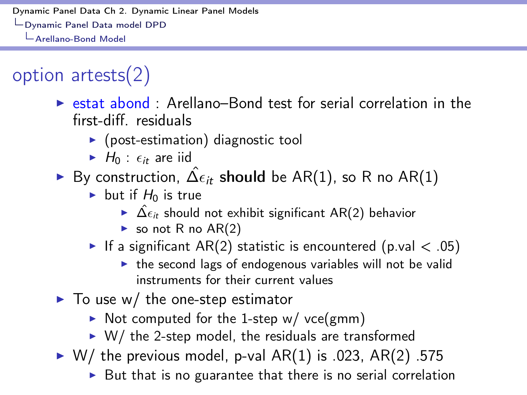# option artests(2)

- $\triangleright$  estat abond : Arellano–Bond test for serial correlation in the first-diff. residuals
	- $\triangleright$  (post-estimation) diagnostic tool
	- $\blacktriangleright$  *H*<sub>0</sub> :  $\epsilon_{it}$  are iid
- By construction,  $\hat{\Delta} \epsilon_{it}$  should be AR(1), so R no AR(1)
	- $\blacktriangleright$  but if  $H_0$  is true
		- $\hat{\mathsf{A}} \in \hat{\Delta} \epsilon_{it}$  should not exhibit significant AR(2) behavior
		- $\triangleright$  so not R no AR(2)
	- If a significant AR(2) statistic is encountered (p.val  $\lt$  .05)
		- $\triangleright$  the second lags of endogenous variables will not be valid instruments for their current values
- $\blacktriangleright$  To use w/ the one-step estimator
	- $\triangleright$  Not computed for the 1-step w/ vce(gmm)
	- $\triangleright$  W/ the 2-step model, the residuals are transformed
- $\triangleright$  W/ the previous model, p-val AR(1) is .023, AR(2) .575
	- $\triangleright$  But that is no guarantee that there is no serial correlation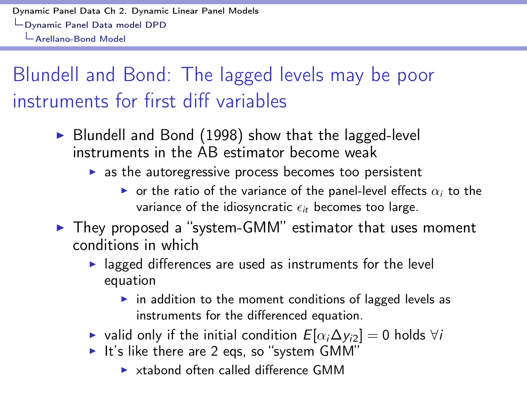# Blundell and Bond: The lagged levels may be poor instruments for first diff variables

- $\triangleright$  Blundell and Bond (1998) show that the lagged-level instruments in the AB estimator become weak
	- $\triangleright$  as the autoregressive process becomes too persistent
		- $\triangleright$  or the ratio of the variance of the panel-level effects  $\alpha_i$  to the variance of the idiosyncratic  $\epsilon_{it}$  becomes too large.
- $\blacktriangleright$  They proposed a "system-GMM" estimator that uses moment conditions in which
	- $\blacktriangleright$  lagged differences are used as instruments for the level equation
		- $\triangleright$  in addition to the moment conditions of lagged levels as instruments for the differenced equation.
	- ► valid only if the initial condition  $E[\alpha_i \Delta y_i] = 0$  holds  $\forall i$ <br>► It's like there are 2 eqs, so "system GMM"
	- - $\triangleright$  xtabond often called difference GMM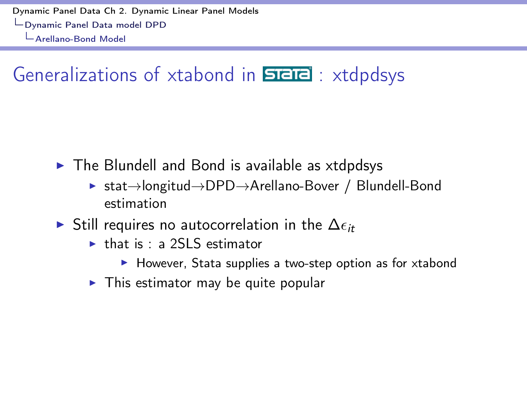Generalizations of xtabond in  $\overline{\text{SPE}}$ : xtdpdsys

 $\triangleright$  The Blundell and Bond is available as xtdpdsys

- $\triangleright$  stat $\rightarrow$ longitud $\rightarrow$ DPD $\rightarrow$ Arellano-Bover / Blundell-Bond estimation
- $\triangleright$  Still requires no autocorrelation in the  $\Delta \epsilon_{it}$ 
	- $\blacktriangleright$  that is : a 2SI S estimator
		- $\blacktriangleright$  However, Stata supplies a two-step option as for xtabond
	- $\triangleright$  This estimator may be quite popular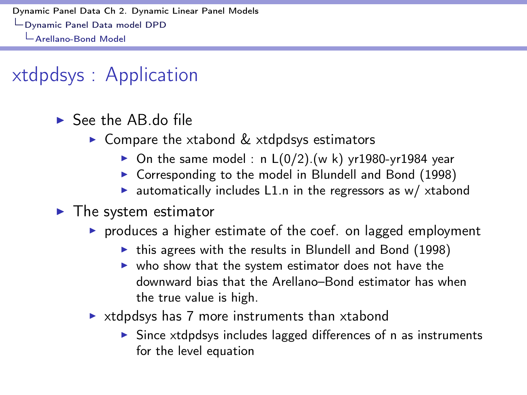## xtdpdsys : Application

- $\blacktriangleright$  See the AB do file
	- $\triangleright$  Compare the xtabond  $\&$  xtdpdsys estimators
		- On the same model : n  $L(0/2)$ . (w k) yr1980-yr1984 year
		- $\triangleright$  Corresponding to the model in Blundell and Bond (1998)
		- $\blacktriangleright$  automatically includes L1.n in the regressors as w/ xtabond
- $\blacktriangleright$  The system estimator
	- $\triangleright$  produces a higher estimate of the coef. on lagged employment
		- $\blacktriangleright$  this agrees with the results in Blundell and Bond (1998)
		- $\triangleright$  who show that the system estimator does not have the downward bias that the Arellano–Bond estimator has when the true value is high.
	- $\triangleright$  xtdpdsys has 7 more instruments than xtabond
		- $\triangleright$  Since xtdpdsys includes lagged differences of n as instruments for the level equation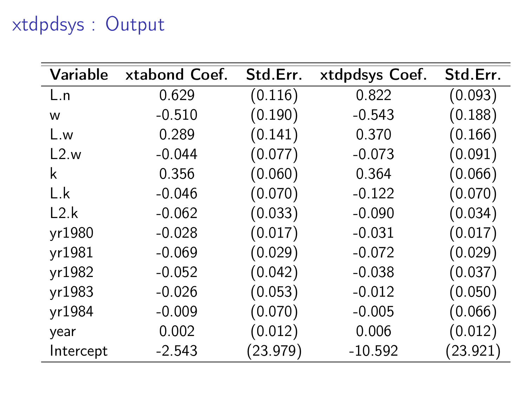# xtdpdsys : Output

| Variable       | xtabond Coef. | Std.Err. | xtdpdsys Coef. | Std.Err. |
|----------------|---------------|----------|----------------|----------|
| L.n            | 0.629         | (0.116)  | 0.822          | (0.093)  |
| w              | $-0.510$      | (0.190)  | $-0.543$       | (0.188)  |
| L.w            | 0.289         | (0.141)  | 0.370          | (0.166)  |
| L2.w           | $-0.044$      | (0.077)  | $-0.073$       | (0.091)  |
| k              | 0.356         | (0.060)  | 0.364          | (0.066)  |
| $\mathsf{L}$ k | $-0.046$      | (0.070)  | $-0.122$       | (0.070)  |
| L2.k           | $-0.062$      | (0.033)  | $-0.090$       | (0.034)  |
| yr1980         | $-0.028$      | (0.017)  | $-0.031$       | (0.017)  |
| yr1981         | $-0.069$      | (0.029)  | $-0.072$       | (0.029)  |
| yr1982         | $-0.052$      | (0.042)  | $-0.038$       | (0.037)  |
| yr1983         | $-0.026$      | (0.053)  | $-0.012$       | (0.050)  |
| yr1984         | $-0.009$      | (0.070)  | $-0.005$       | (0.066)  |
| year           | 0.002         | (0.012)  | 0.006          | (0.012)  |
| Intercept      | $-2.543$      | (23.979) | $-10.592$      | (23.921) |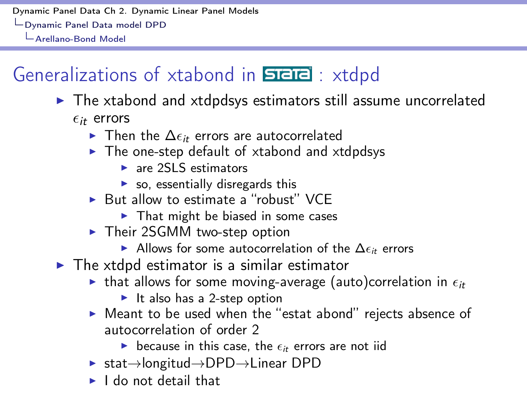## Generalizations of xtabond in  $\overline{\text{size}}$ : xtdpd

- $\triangleright$  The xtabond and xtdpdsys estimators still assume uncorrelated  $\epsilon_{it}$  errors
	- $\blacktriangleright$  Then the  $\Delta \epsilon_{it}$  errors are autocorrelated
	- $\triangleright$  The one-step default of xtabond and xtdpdsys
		- $\blacktriangleright$  are 2SLS estimators
		- $\triangleright$  so, essentially disregards this
	- $\triangleright$  But allow to estimate a "robust" VCE
		- $\blacktriangleright$  That might be biased in some cases
	- $\triangleright$  Their 2SGMM two-step option
		- $\blacktriangleright$  Allows for some autocorrelation of the  $\Delta \epsilon_{ir}$  errors
- $\triangleright$  The xtdpd estimator is a similar estimator
	- **If** that allows for some moving-average (auto)correlation in  $\epsilon_{it}$ 
		- $\blacktriangleright$  It also has a 2-step option
	- ▶ Meant to be used when the "estat abond" rejects absence of autocorrelation of order 2
		- **If** because in this case, the  $\epsilon_{it}$  errors are not iid
	- $\triangleright$  stat $\rightarrow$ longitud $\rightarrow$ DPD $\rightarrow$ Linear DPD
	- $\blacktriangleright$  I do not detail that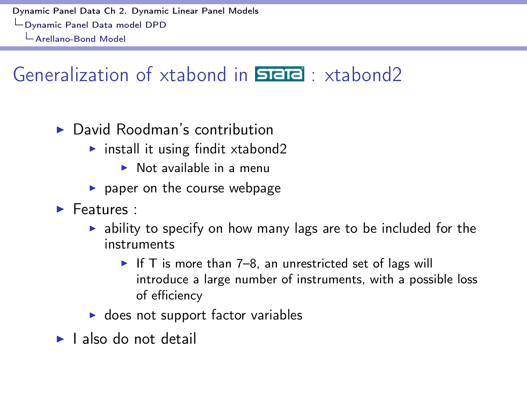## Generalization of xtabond in  $\overline{\text{SIEIC}}$  : xtabond2

- $\blacktriangleright$  David Roodman's contribution
	- $\triangleright$  install it using findit xtabond2
		- $\triangleright$  Not available in a menu
	- $\blacktriangleright$  paper on the course webpage
- $\blacktriangleright$  Features :
	- $\triangleright$  ability to specify on how many lags are to be included for the instruments
		- If T is more than 7–8, an unrestricted set of lags will introduce a large number of instruments, with a possible loss of efficiency
	- $\triangleright$  does not support factor variables
- $\blacktriangleright$  I also do not detail